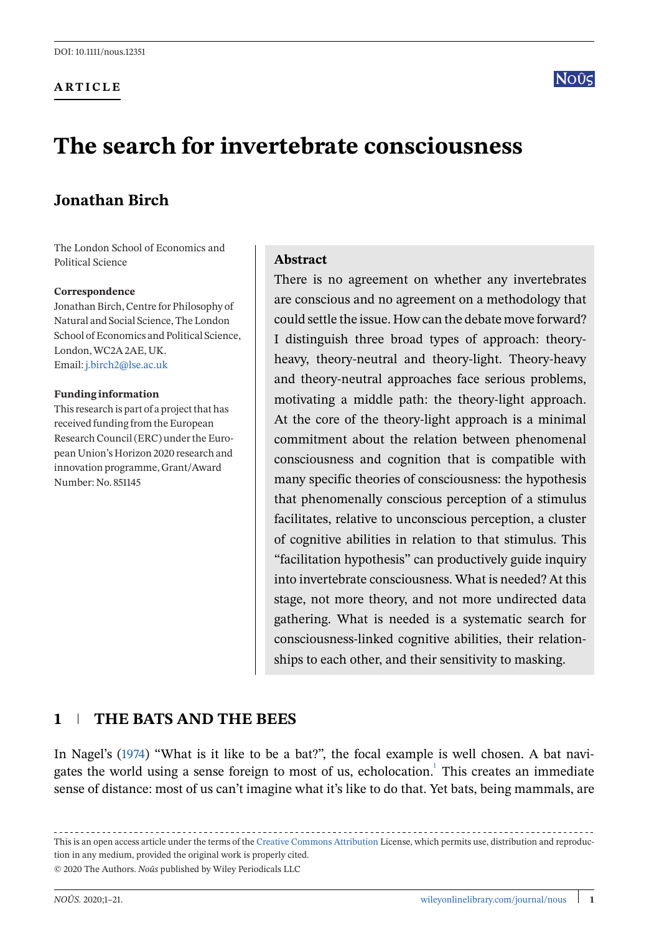**ARTICLE**



# **The search for invertebrate consciousness**

# **Jonathan Birch**

The London School of Economics and Political Science

#### **Correspondence**

Jonathan Birch, Centre for Philosophy of Natural and Social Science, The London School of Economics and Political Science, London,WC2A 2AE, UK. Email: [j.birch2@lse.ac.uk](mailto:j.birch2@lse.ac.uk)

#### **Funding information**

This research is part of a project that has received funding from the European Research Council (ERC) under the European Union's Horizon 2020 research and innovation programme, Grant/Award Number: No. 851145

#### **Abstract**

There is no agreement on whether any invertebrates are conscious and no agreement on a methodology that could settle the issue. How can the debate move forward? I distinguish three broad types of approach: theoryheavy, theory-neutral and theory-light. Theory-heavy and theory-neutral approaches face serious problems, motivating a middle path: the theory-light approach. At the core of the theory-light approach is a minimal commitment about the relation between phenomenal consciousness and cognition that is compatible with many specific theories of consciousness: the hypothesis that phenomenally conscious perception of a stimulus facilitates, relative to unconscious perception, a cluster of cognitive abilities in relation to that stimulus. This "facilitation hypothesis" can productively guide inquiry into invertebrate consciousness. What is needed? At this stage, not more theory, and not more undirected data gathering. What is needed is a systematic search for consciousness-linked cognitive abilities, their relationships to each other, and their sensitivity to masking.

## **1 THE BATS AND THE BEES**

In Nagel's [\(1974\)](#page-19-0) "What is it like to be a bat?", the focal example is well chosen. A bat navi-gates the world using a sense foreign to most of us, echolocation[.](#page-15-0) $1$  This creates an immediate sense of distance: most of us can't imagine what it's like to do that. Yet bats, being mammals, are

This is an open access article under the terms of the [Creative Commons Attribution](http://creativecommons.org/licenses/by/4.0/) License, which permits use, distribution and reproduction in any medium, provided the original work is properly cited. © 2020 The Authors. *Noûs* published by Wiley Periodicals LLC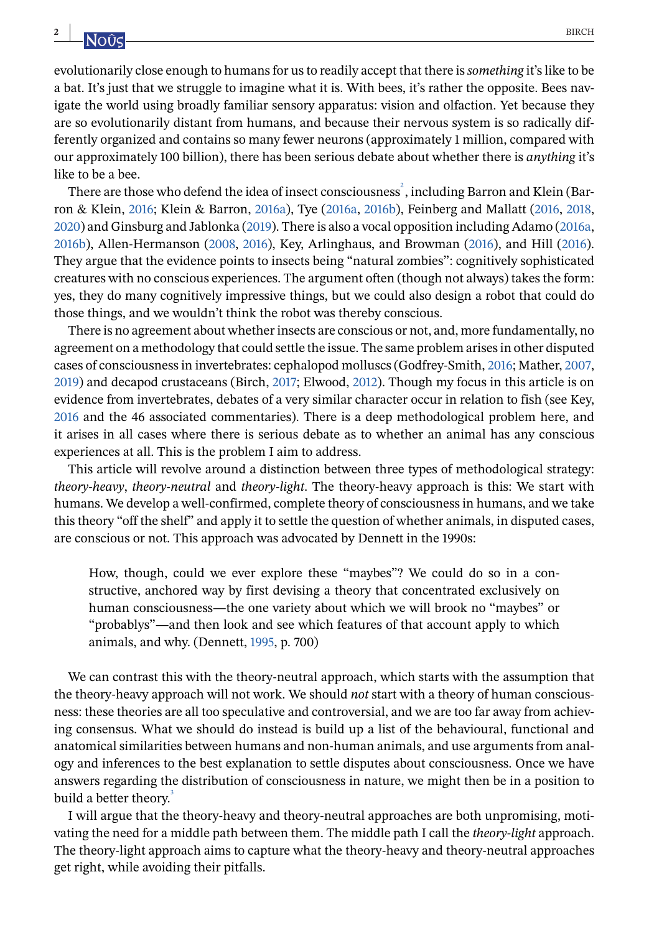evolutionarily close enough to humans for us to readily accept that there is*something* it's like to be a bat. It's just that we struggle to imagine what it is. With bees, it's rather the opposite. Bees navigate the world using broadly familiar sensory apparatus: vision and olfaction. Yet because they are so evolutionarily distant from humans, and because their nervous system is so radically differently organized and contains so many fewer neurons (approximately 1 million, compared with our approximately 100 billion), there has been serious debate about whether there is *anything* it's like to be a bee.

There are tho[s](#page-15-0)e who defend the idea of insect consciousness $^{\text{2}}$  , including Barron and Klein (Barron & Klein, [2016;](#page-16-0) Klein & Barron, [2016a\)](#page-18-0), Tye [\(2016a,](#page-19-0) [2016b\)](#page-20-0), Feinberg and Mallatt [\(2016,](#page-17-0) [2018,](#page-17-0) [2020\)](#page-17-0) and Ginsburg and Jablonka [\(2019\)](#page-18-0). There is also a vocal opposition including Adamo [\(2016a,](#page-16-0) [2016b\)](#page-16-0), Allen-Hermanson [\(2008,](#page-16-0) [2016\)](#page-16-0), Key, Arlinghaus, and Browman [\(2016\)](#page-18-0), and Hill [\(2016\)](#page-18-0). They argue that the evidence points to insects being "natural zombies": cognitively sophisticated creatures with no conscious experiences. The argument often (though not always) takes the form: yes, they do many cognitively impressive things, but we could also design a robot that could do those things, and we wouldn't think the robot was thereby conscious.

There is no agreement about whether insects are conscious or not, and, more fundamentally, no agreement on a methodology that could settle the issue. The same problem arises in other disputed cases of consciousness in invertebrates: cephalopod molluscs (Godfrey-Smith, [2016;](#page-18-0) Mather, [2007,](#page-18-0) [2019\)](#page-18-0) and decapod crustaceans (Birch, [2017;](#page-17-0) Elwood, [2012\)](#page-17-0). Though my focus in this article is on evidence from invertebrates, debates of a very similar character occur in relation to fish (see Key, [2016](#page-18-0) and the 46 associated commentaries). There is a deep methodological problem here, and it arises in all cases where there is serious debate as to whether an animal has any conscious experiences at all. This is the problem I aim to address.

This article will revolve around a distinction between three types of methodological strategy: *theory-heavy*, *theory-neutral* and *theory-light*. The theory-heavy approach is this: We start with humans. We develop a well-confirmed, complete theory of consciousness in humans, and we take this theory "off the shelf" and apply it to settle the question of whether animals, in disputed cases, are conscious or not. This approach was advocated by Dennett in the 1990s:

How, though, could we ever explore these "maybes"? We could do so in a constructive, anchored way by first devising a theory that concentrated exclusively on human consciousness—the one variety about which we will brook no "maybes" or "probablys"—and then look and see which features of that account apply to which animals, and why. (Dennett, [1995,](#page-17-0) p. 700)

We can contrast this with the theory-neutral approach, which starts with the assumption that the theory-heavy approach will not work. We should *not* start with a theory of human consciousness: these theories are all too speculative and controversial, and we are too far away from achieving consensus. What we should do instead is build up a list of the behavioural, functional and anatomical similarities between humans and non-human animals, and use arguments from analogy and inferences to the best explanation to settle disputes about consciousness. Once we have answers regarding the distribution of consciousness in nature, we might then be in a position to build a better theory[.](#page-15-0)<sup>3</sup>

I will argue that the theory-heavy and theory-neutral approaches are both unpromising, motivating the need for a middle path between them. The middle path I call the *theory-light* approach. The theory-light approach aims to capture what the theory-heavy and theory-neutral approaches get right, while avoiding their pitfalls.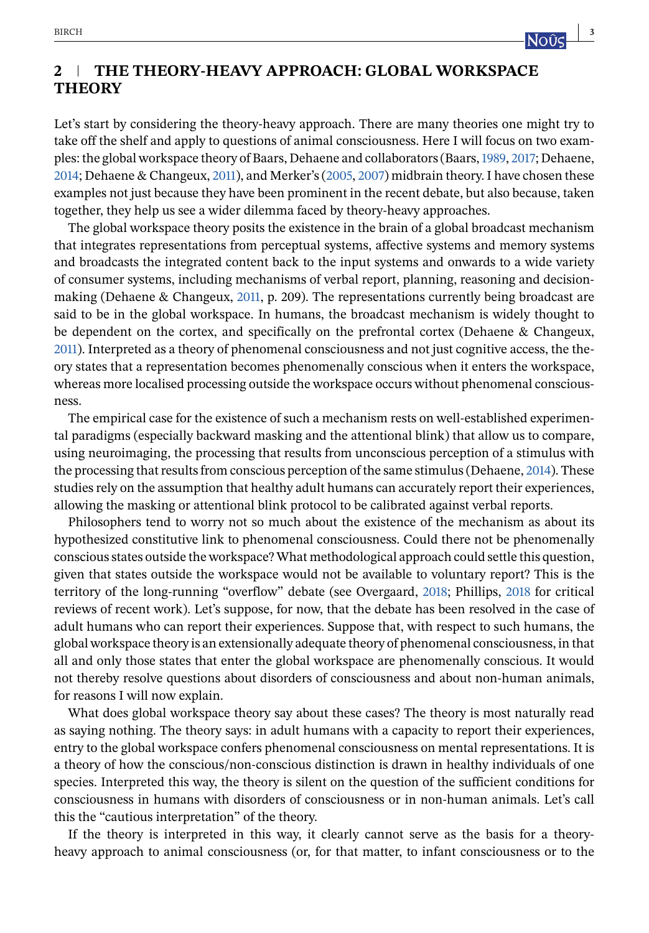# <span id="page-2-0"></span>**2 THE THEORY-HEAVY APPROACH: GLOBAL WORKSPACE THEORY**

Let's start by considering the theory-heavy approach. There are many theories one might try to take off the shelf and apply to questions of animal consciousness. Here I will focus on two examples: the global workspace theory of Baars, Dehaene and collaborators (Baars,[1989,](#page-16-0) [2017;](#page-16-0) Dehaene, [2014;](#page-17-0) Dehaene & Changeux, [2011\)](#page-17-0), and Merker's [\(2005,](#page-18-0) [2007\)](#page-18-0) midbrain theory. I have chosen these examples not just because they have been prominent in the recent debate, but also because, taken together, they help us see a wider dilemma faced by theory-heavy approaches.

The global workspace theory posits the existence in the brain of a global broadcast mechanism that integrates representations from perceptual systems, affective systems and memory systems and broadcasts the integrated content back to the input systems and onwards to a wide variety of consumer systems, including mechanisms of verbal report, planning, reasoning and decisionmaking (Dehaene & Changeux, [2011,](#page-17-0) p. 209). The representations currently being broadcast are said to be in the global workspace. In humans, the broadcast mechanism is widely thought to be dependent on the cortex, and specifically on the prefrontal cortex (Dehaene & Changeux, [2011\)](#page-17-0). Interpreted as a theory of phenomenal consciousness and not just cognitive access, the theory states that a representation becomes phenomenally conscious when it enters the workspace, whereas more localised processing outside the workspace occurs without phenomenal consciousness.

The empirical case for the existence of such a mechanism rests on well-established experimental paradigms (especially backward masking and the attentional blink) that allow us to compare, using neuroimaging, the processing that results from unconscious perception of a stimulus with the processing that results from conscious perception of the same stimulus (Dehaene, [2014\)](#page-17-0). These studies rely on the assumption that healthy adult humans can accurately report their experiences, allowing the masking or attentional blink protocol to be calibrated against verbal reports.

Philosophers tend to worry not so much about the existence of the mechanism as about its hypothesized constitutive link to phenomenal consciousness. Could there not be phenomenally conscious states outside the workspace? What methodological approach could settle this question, given that states outside the workspace would not be available to voluntary report? This is the territory of the long-running "overflow" debate (see Overgaard, [2018;](#page-19-0) Phillips, [2018](#page-19-0) for critical reviews of recent work). Let's suppose, for now, that the debate has been resolved in the case of adult humans who can report their experiences. Suppose that, with respect to such humans, the global workspace theory is an extensionally adequate theory of phenomenal consciousness, in that all and only those states that enter the global workspace are phenomenally conscious. It would not thereby resolve questions about disorders of consciousness and about non-human animals, for reasons I will now explain.

What does global workspace theory say about these cases? The theory is most naturally read as saying nothing. The theory says: in adult humans with a capacity to report their experiences, entry to the global workspace confers phenomenal consciousness on mental representations. It is a theory of how the conscious/non-conscious distinction is drawn in healthy individuals of one species. Interpreted this way, the theory is silent on the question of the sufficient conditions for consciousness in humans with disorders of consciousness or in non-human animals. Let's call this the "cautious interpretation" of the theory.

If the theory is interpreted in this way, it clearly cannot serve as the basis for a theoryheavy approach to animal consciousness (or, for that matter, to infant consciousness or to the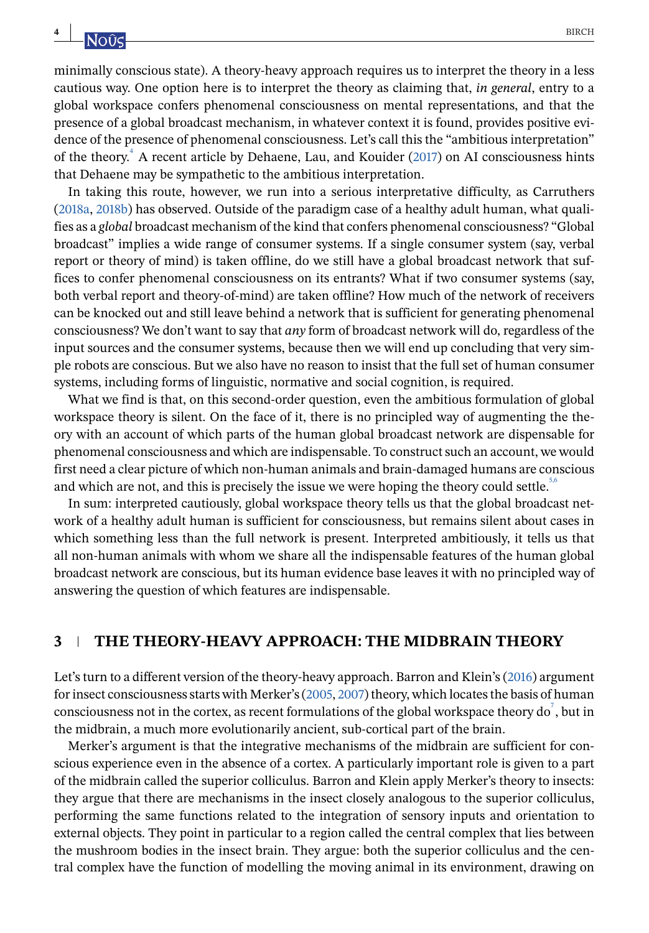minimally conscious state). A theory-heavy approach requires us to interpret the theory in a less cautious way. One option here is to interpret the theory as claiming that, *in general*, entry to a global workspace confers phenomenal consciousness on mental representations, and that the presence of a global broadcast mechanism, in whatever context it is found, provides positive evidence of the presence of phenomenal consciousness. Let's call this the "ambitious interpretation" of the theory[.](#page-15-0)<sup>4</sup> A recent article by Dehaene, Lau, and Kouider [\(2017\)](#page-17-0) on AI consciousness hints that Dehaene may be sympathetic to the ambitious interpretation.

In taking this route, however, we run into a serious interpretative difficulty, as Carruthers [\(2018a,](#page-17-0) [2018b\)](#page-17-0) has observed. Outside of the paradigm case of a healthy adult human, what qualifies as a *global* broadcast mechanism of the kind that confers phenomenal consciousness? "Global broadcast" implies a wide range of consumer systems. If a single consumer system (say, verbal report or theory of mind) is taken offline, do we still have a global broadcast network that suffices to confer phenomenal consciousness on its entrants? What if two consumer systems (say, both verbal report and theory-of-mind) are taken offline? How much of the network of receivers can be knocked out and still leave behind a network that is sufficient for generating phenomenal consciousness? We don't want to say that *any* form of broadcast network will do, regardless of the input sources and the consumer systems, because then we will end up concluding that very simple robots are conscious. But we also have no reason to insist that the full set of human consumer systems, including forms of linguistic, normative and social cognition, is required.

What we find is that, on this second-order question, even the ambitious formulation of global workspace theory is silent. On the face of it, there is no principled way of augmenting the theory with an account of which parts of the human global broadcast network are dispensable for phenomenal consciousness and which are indispensable. To construct such an account, we would first need a clear picture of which non-human animals and brain-damaged humans are conscious and which are not, and this is precisely the issue we were hoping the theory could settle[.](#page-15-0)<sup>3,6</sup>

In sum: interpreted cautiously, global workspace theory tells us that the global broadcast network of a healthy adult human is sufficient for consciousness, but remains silent about cases in which something less than the full network is present. Interpreted ambitiously, it tells us that all non-human animals with whom we share all the indispensable features of the human global broadcast network are conscious, but its human evidence base leaves it with no principled way of answering the question of which features are indispensable.

## **3 THE THEORY-HEAVY APPROACH: THE MIDBRAIN THEORY**

Let's turn to a different version of the theory-heavy approach. Barron and Klein's [\(2016\)](#page-16-0) argument for insect consciousness starts with Merker's [\(2005,](#page-18-0) [2007\)](#page-18-0) theory, which locates the basis of human c[o](#page-15-0)nsciousness not in the cortex, as recent formulations of the global workspace theory do  $\overline{\phantom{\alpha}}$  , but in the midbrain, a much more evolutionarily ancient, sub-cortical part of the brain.

Merker's argument is that the integrative mechanisms of the midbrain are sufficient for conscious experience even in the absence of a cortex. A particularly important role is given to a part of the midbrain called the superior colliculus. Barron and Klein apply Merker's theory to insects: they argue that there are mechanisms in the insect closely analogous to the superior colliculus, performing the same functions related to the integration of sensory inputs and orientation to external objects. They point in particular to a region called the central complex that lies between the mushroom bodies in the insect brain. They argue: both the superior colliculus and the central complex have the function of modelling the moving animal in its environment, drawing on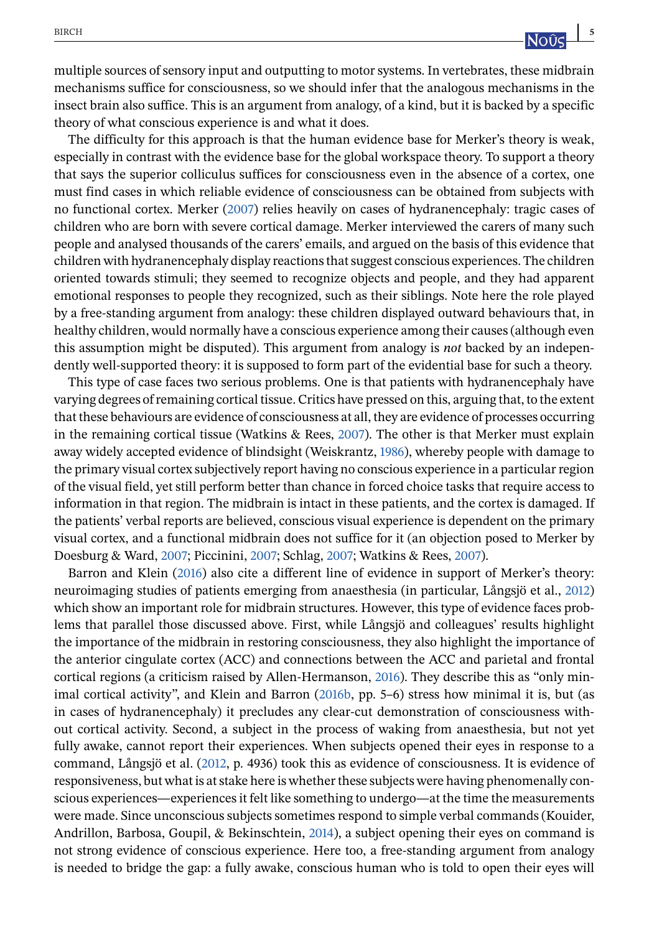multiple sources of sensory input and outputting to motor systems. In vertebrates, these midbrain mechanisms suffice for consciousness, so we should infer that the analogous mechanisms in the insect brain also suffice. This is an argument from analogy, of a kind, but it is backed by a specific theory of what conscious experience is and what it does.

The difficulty for this approach is that the human evidence base for Merker's theory is weak, especially in contrast with the evidence base for the global workspace theory. To support a theory that says the superior colliculus suffices for consciousness even in the absence of a cortex, one must find cases in which reliable evidence of consciousness can be obtained from subjects with no functional cortex. Merker [\(2007\)](#page-18-0) relies heavily on cases of hydranencephaly: tragic cases of children who are born with severe cortical damage. Merker interviewed the carers of many such people and analysed thousands of the carers' emails, and argued on the basis of this evidence that children with hydranencephaly display reactions that suggest conscious experiences. The children oriented towards stimuli; they seemed to recognize objects and people, and they had apparent emotional responses to people they recognized, such as their siblings. Note here the role played by a free-standing argument from analogy: these children displayed outward behaviours that, in healthy children, would normally have a conscious experience among their causes (although even this assumption might be disputed). This argument from analogy is *not* backed by an independently well-supported theory: it is supposed to form part of the evidential base for such a theory.

This type of case faces two serious problems. One is that patients with hydranencephaly have varying degrees of remaining cortical tissue. Critics have pressed on this, arguing that, to the extent that these behaviours are evidence of consciousness at all, they are evidence of processes occurring in the remaining cortical tissue (Watkins & Rees, [2007\)](#page-20-0). The other is that Merker must explain away widely accepted evidence of blindsight (Weiskrantz, [1986\)](#page-20-0), whereby people with damage to the primary visual cortex subjectively report having no conscious experience in a particular region of the visual field, yet still perform better than chance in forced choice tasks that require access to information in that region. The midbrain is intact in these patients, and the cortex is damaged. If the patients' verbal reports are believed, conscious visual experience is dependent on the primary visual cortex, and a functional midbrain does not suffice for it (an objection posed to Merker by Doesburg & Ward, [2007;](#page-17-0) Piccinini, [2007;](#page-19-0) Schlag, [2007;](#page-19-0) Watkins & Rees, [2007\)](#page-20-0).

Barron and Klein [\(2016\)](#page-16-0) also cite a different line of evidence in support of Merker's theory: neuroimaging studies of patients emerging from anaesthesia (in particular, Långsjö et al., [2012\)](#page-18-0) which show an important role for midbrain structures. However, this type of evidence faces problems that parallel those discussed above. First, while Långsjö and colleagues' results highlight the importance of the midbrain in restoring consciousness, they also highlight the importance of the anterior cingulate cortex (ACC) and connections between the ACC and parietal and frontal cortical regions (a criticism raised by Allen-Hermanson, [2016\)](#page-16-0). They describe this as "only minimal cortical activity", and Klein and Barron [\(2016b,](#page-18-0) pp. 5–6) stress how minimal it is, but (as in cases of hydranencephaly) it precludes any clear-cut demonstration of consciousness without cortical activity. Second, a subject in the process of waking from anaesthesia, but not yet fully awake, cannot report their experiences. When subjects opened their eyes in response to a command, Långsjö et al. [\(2012,](#page-18-0) p. 4936) took this as evidence of consciousness. It is evidence of responsiveness, but what is at stake here is whether these subjects were having phenomenally conscious experiences—experiences it felt like something to undergo—at the time the measurements were made. Since unconscious subjects sometimes respond to simple verbal commands (Kouider, Andrillon, Barbosa, Goupil, & Bekinschtein, [2014\)](#page-18-0), a subject opening their eyes on command is not strong evidence of conscious experience. Here too, a free-standing argument from analogy is needed to bridge the gap: a fully awake, conscious human who is told to open their eyes will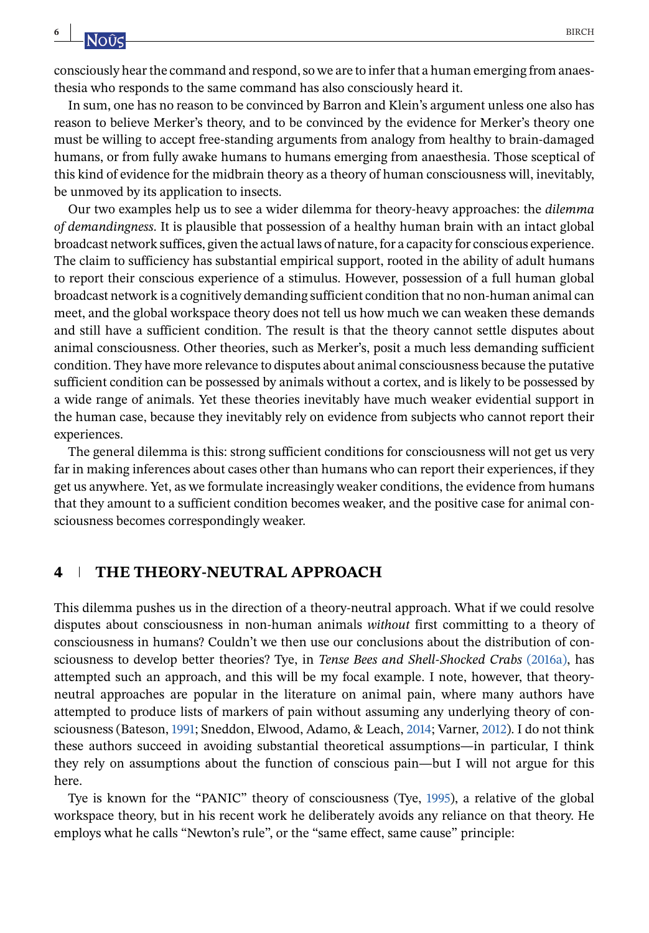consciously hear the command and respond, so we are to infer that a human emerging from anaesthesia who responds to the same command has also consciously heard it.

In sum, one has no reason to be convinced by Barron and Klein's argument unless one also has reason to believe Merker's theory, and to be convinced by the evidence for Merker's theory one must be willing to accept free-standing arguments from analogy from healthy to brain-damaged humans, or from fully awake humans to humans emerging from anaesthesia. Those sceptical of this kind of evidence for the midbrain theory as a theory of human consciousness will, inevitably, be unmoved by its application to insects.

Our two examples help us to see a wider dilemma for theory-heavy approaches: the *dilemma of demandingness*. It is plausible that possession of a healthy human brain with an intact global broadcast network suffices, given the actual laws of nature, for a capacity for conscious experience. The claim to sufficiency has substantial empirical support, rooted in the ability of adult humans to report their conscious experience of a stimulus. However, possession of a full human global broadcast network is a cognitively demanding sufficient condition that no non-human animal can meet, and the global workspace theory does not tell us how much we can weaken these demands and still have a sufficient condition. The result is that the theory cannot settle disputes about animal consciousness. Other theories, such as Merker's, posit a much less demanding sufficient condition. They have more relevance to disputes about animal consciousness because the putative sufficient condition can be possessed by animals without a cortex, and is likely to be possessed by a wide range of animals. Yet these theories inevitably have much weaker evidential support in the human case, because they inevitably rely on evidence from subjects who cannot report their experiences.

The general dilemma is this: strong sufficient conditions for consciousness will not get us very far in making inferences about cases other than humans who can report their experiences, if they get us anywhere. Yet, as we formulate increasingly weaker conditions, the evidence from humans that they amount to a sufficient condition becomes weaker, and the positive case for animal consciousness becomes correspondingly weaker.

## **4 THE THEORY-NEUTRAL APPROACH**

This dilemma pushes us in the direction of a theory-neutral approach. What if we could resolve disputes about consciousness in non-human animals *without* first committing to a theory of consciousness in humans? Couldn't we then use our conclusions about the distribution of consciousness to develop better theories? Tye, in *Tense Bees and Shell-Shocked Crabs* [\(2016a\),](#page-19-0) has attempted such an approach, and this will be my focal example. I note, however, that theoryneutral approaches are popular in the literature on animal pain, where many authors have attempted to produce lists of markers of pain without assuming any underlying theory of consciousness (Bateson, [1991;](#page-16-0) Sneddon, Elwood, Adamo, & Leach, [2014;](#page-19-0) Varner, [2012\)](#page-20-0). I do not think these authors succeed in avoiding substantial theoretical assumptions—in particular, I think they rely on assumptions about the function of conscious pain—but I will not argue for this here.

Tye is known for the "PANIC" theory of consciousness (Tye, [1995\)](#page-19-0), a relative of the global workspace theory, but in his recent work he deliberately avoids any reliance on that theory. He employs what he calls "Newton's rule", or the "same effect, same cause" principle:

<span id="page-5-0"></span>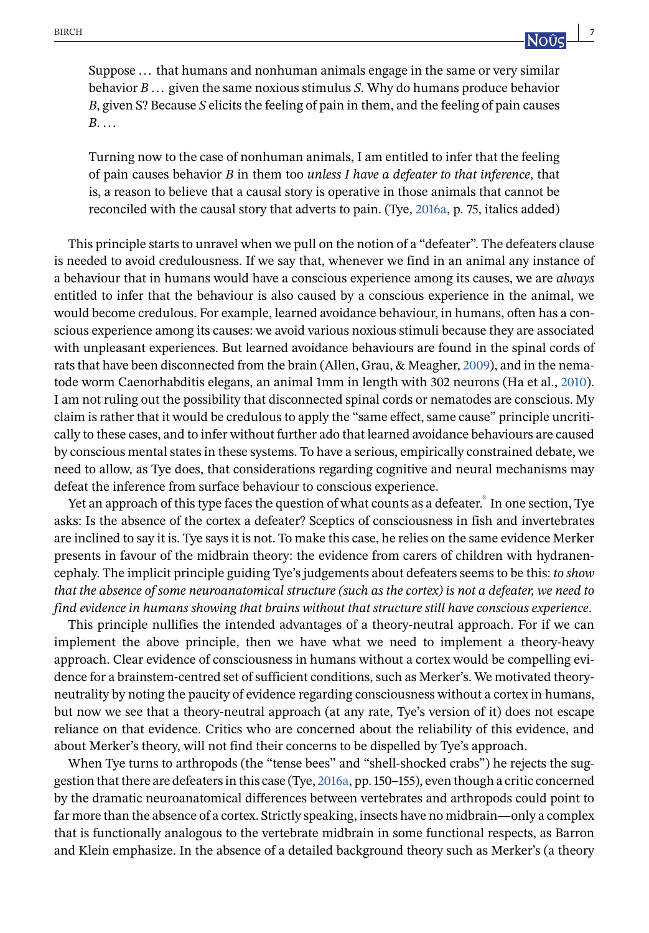BIRCH **7** *T<sub>O</sub>* 

Suppose ... that humans and nonhuman animals engage in the same or very similar behavior *B* ... given the same noxious stimulus *S*. Why do humans produce behavior *B*, given S? Because *S* elicits the feeling of pain in them, and the feeling of pain causes *B*....

Turning now to the case of nonhuman animals, I am entitled to infer that the feeling of pain causes behavior *B* in them too *unless I have a defeater to that inference*, that is, a reason to believe that a causal story is operative in those animals that cannot be reconciled with the causal story that adverts to pain. (Tye, [2016a,](#page-19-0) p. 75, italics added)

This principle starts to unravel when we pull on the notion of a "defeater". The defeaters clause is needed to avoid credulousness. If we say that, whenever we find in an animal any instance of a behaviour that in humans would have a conscious experience among its causes, we are *always* entitled to infer that the behaviour is also caused by a conscious experience in the animal, we would become credulous. For example, learned avoidance behaviour, in humans, often has a conscious experience among its causes: we avoid various noxious stimuli because they are associated with unpleasant experiences. But learned avoidance behaviours are found in the spinal cords of rats that have been disconnected from the brain (Allen, Grau, & Meagher, [2009\)](#page-16-0), and in the nematode worm Caenorhabditis elegans, an animal 1mm in length with 302 neurons (Ha et al., [2010\)](#page-18-0). I am not ruling out the possibility that disconnected spinal cords or nematodes are conscious. My claim is rather that it would be credulous to apply the "same effect, same cause" principle uncritically to these cases, and to infer without further ado that learned avoidance behaviours are caused by conscious mental states in these systems. To have a serious, empirically constrained debate, we need to allow, as Tye does, that considerations regarding cognitive and neural mechanisms may defeat the inference from surface behaviour to conscious experience.

Yet an approach of this type faces the question of what counts as a defeater[.](#page-15-0) $\degree$  In one section, Tye asks: Is the absence of the cortex a defeater? Sceptics of consciousness in fish and invertebrates are inclined to say it is. Tye says it is not. To make this case, he relies on the same evidence Merker presents in favour of the midbrain theory: the evidence from carers of children with hydranencephaly. The implicit principle guiding Tye's judgements about defeaters seems to be this: *to show that the absence of some neuroanatomical structure (such as the cortex) is not a defeater, we need to find evidence in humans showing that brains without that structure still have conscious experience*.

This principle nullifies the intended advantages of a theory-neutral approach. For if we can implement the above principle, then we have what we need to implement a theory-heavy approach. Clear evidence of consciousness in humans without a cortex would be compelling evidence for a brainstem-centred set of sufficient conditions, such as Merker's. We motivated theoryneutrality by noting the paucity of evidence regarding consciousness without a cortex in humans, but now we see that a theory-neutral approach (at any rate, Tye's version of it) does not escape reliance on that evidence. Critics who are concerned about the reliability of this evidence, and about Merker's theory, will not find their concerns to be dispelled by Tye's approach.

When Tye turns to arthropods (the "tense bees" and "shell-shocked crabs") he rejects the suggestion that there are defeaters in this case (Tye, [2016a,](#page-19-0) pp. 150–155), even though a critic concerned by the dramatic neuroanatomical differences between vertebrates and arthropods could point to far more than the absence of a cortex. Strictly speaking, insects have no midbrain—only a complex that is functionally analogous to the vertebrate midbrain in some functional respects, as Barron and Klein emphasize. In the absence of a detailed background theory such as Merker's (a theory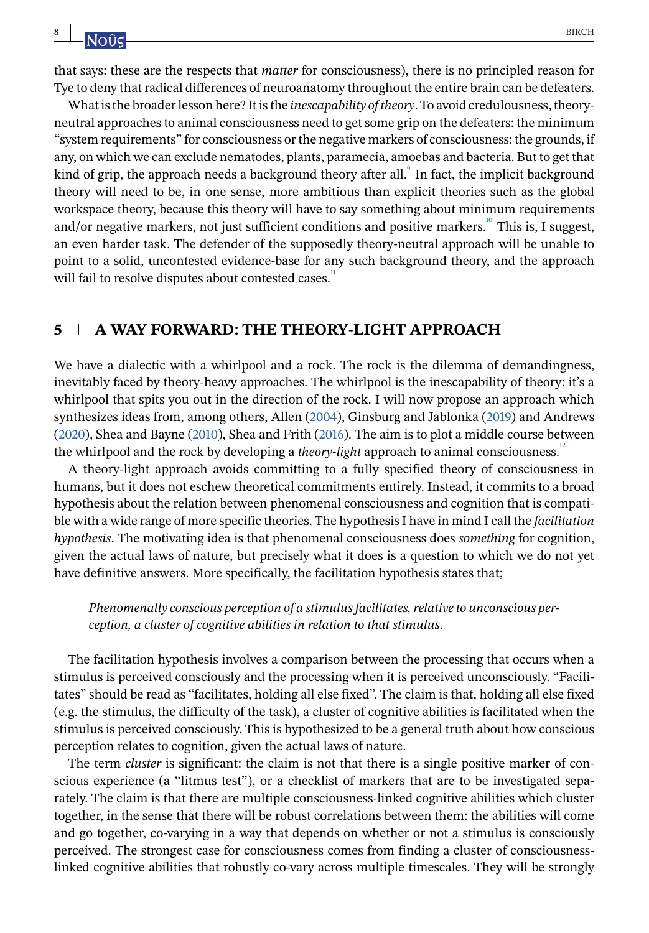<span id="page-7-0"></span>that says: these are the respects that *matter* for consciousness), there is no principled reason for Tye to deny that radical differences of neuroanatomy throughout the entire brain can be defeaters.

What is the broader lesson here? It is the *inescapability of theory*. To avoid credulousness, theoryneutral approaches to animal consciousness need to get some grip on the defeaters: the minimum "system requirements" for consciousness or the negative markers of consciousness: the grounds, if any, on which we can exclude nematodes, plants, paramecia, amoebas and bacteria. But to get that kind of grip, the approach needs a background theory after all[.](#page-15-0) $^{\circ}$  In fact, the implicit background theory will need to be, in one sense, more ambitious than explicit theories such as the global workspace theory, because this theory will have to say something about minimum requirements and/or negative markers, not just sufficient conditions and positive markers[.](#page-15-0)<sup>10</sup> This is, I suggest, an even harder task. The defender of the supposedly theory-neutral approach will be unable to point to a solid, uncontested evidence-base for any such background theory, and the approach will fail to resolve disputes about contested cases[.](#page-15-0)<sup>11</sup>

# **5 A WAY FORWARD: THE THEORY-LIGHT APPROACH**

We have a dialectic with a whirlpool and a rock. The rock is the dilemma of demandingness, inevitably faced by theory-heavy approaches. The whirlpool is the inescapability of theory: it's a whirlpool that spits you out in the direction of the rock. I will now propose an approach which synthesizes ideas from, among others, Allen [\(2004\)](#page-16-0), Ginsburg and Jablonka [\(2019\)](#page-18-0) and Andrews [\(2020\)](#page-16-0), Shea and Bayne [\(2010\)](#page-19-0), Shea and Frith [\(2016\)](#page-19-0). The aim is to plot a middle course between the whirlpool and the rock by developing a *theory-light* approach to animal consciousness[.](#page-16-0)<sup>12</sup>

A theory-light approach avoids committing to a fully specified theory of consciousness in humans, but it does not eschew theoretical commitments entirely. Instead, it commits to a broad hypothesis about the relation between phenomenal consciousness and cognition that is compatible with a wide range of more specific theories. The hypothesis I have in mind I call the *facilitation hypothesis*. The motivating idea is that phenomenal consciousness does *something* for cognition, given the actual laws of nature, but precisely what it does is a question to which we do not yet have definitive answers. More specifically, the facilitation hypothesis states that;

*Phenomenally conscious perception of a stimulus facilitates, relative to unconscious perception, a cluster of cognitive abilities in relation to that stimulus*.

The facilitation hypothesis involves a comparison between the processing that occurs when a stimulus is perceived consciously and the processing when it is perceived unconsciously. "Facilitates" should be read as "facilitates, holding all else fixed". The claim is that, holding all else fixed (e.g. the stimulus, the difficulty of the task), a cluster of cognitive abilities is facilitated when the stimulus is perceived consciously. This is hypothesized to be a general truth about how conscious perception relates to cognition, given the actual laws of nature.

The term *cluster* is significant: the claim is not that there is a single positive marker of conscious experience (a "litmus test"), or a checklist of markers that are to be investigated separately. The claim is that there are multiple consciousness-linked cognitive abilities which cluster together, in the sense that there will be robust correlations between them: the abilities will come and go together, co-varying in a way that depends on whether or not a stimulus is consciously perceived. The strongest case for consciousness comes from finding a cluster of consciousnesslinked cognitive abilities that robustly co-vary across multiple timescales. They will be strongly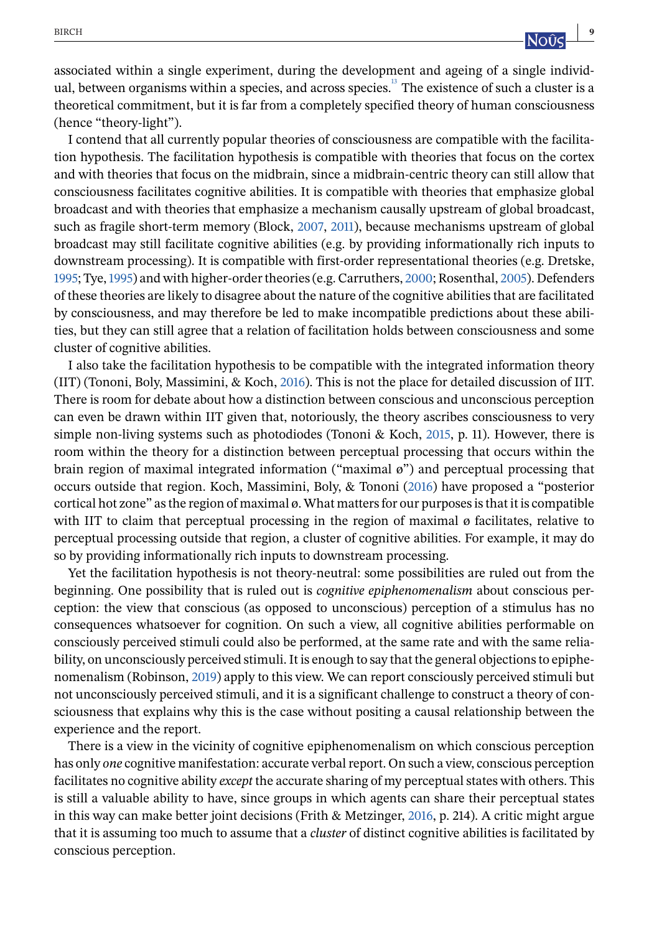associated within a single experiment, during the development and ageing of a single individ-ual, between organisms within a species, and across species[.](#page-16-0)<sup>13</sup> The existence of such a cluster is a theoretical commitment, but it is far from a completely specified theory of human consciousness (hence "theory-light").

I contend that all currently popular theories of consciousness are compatible with the facilitation hypothesis. The facilitation hypothesis is compatible with theories that focus on the cortex and with theories that focus on the midbrain, since a midbrain-centric theory can still allow that consciousness facilitates cognitive abilities. It is compatible with theories that emphasize global broadcast and with theories that emphasize a mechanism causally upstream of global broadcast, such as fragile short-term memory (Block, [2007,](#page-17-0) [2011\)](#page-17-0), because mechanisms upstream of global broadcast may still facilitate cognitive abilities (e.g. by providing informationally rich inputs to downstream processing). It is compatible with first-order representational theories (e.g. Dretske, [1995;](#page-17-0) Tye,[1995\)](#page-19-0) and with higher-order theories (e.g. Carruthers, [2000;](#page-17-0) Rosenthal, [2005\)](#page-19-0). Defenders of these theories are likely to disagree about the nature of the cognitive abilities that are facilitated by consciousness, and may therefore be led to make incompatible predictions about these abilities, but they can still agree that a relation of facilitation holds between consciousness and some cluster of cognitive abilities.

I also take the facilitation hypothesis to be compatible with the integrated information theory (IIT) (Tononi, Boly, Massimini, & Koch, [2016\)](#page-19-0). This is not the place for detailed discussion of IIT. There is room for debate about how a distinction between conscious and unconscious perception can even be drawn within IIT given that, notoriously, the theory ascribes consciousness to very simple non-living systems such as photodiodes (Tononi & Koch, [2015,](#page-19-0) p. 11). However, there is room within the theory for a distinction between perceptual processing that occurs within the brain region of maximal integrated information ("maximal ø") and perceptual processing that occurs outside that region. Koch, Massimini, Boly, & Tononi [\(2016\)](#page-18-0) have proposed a "posterior cortical hot zone" as the region of maximal ø. What matters for our purposes is that it is compatible with IIT to claim that perceptual processing in the region of maximal ø facilitates, relative to perceptual processing outside that region, a cluster of cognitive abilities. For example, it may do so by providing informationally rich inputs to downstream processing.

Yet the facilitation hypothesis is not theory-neutral: some possibilities are ruled out from the beginning. One possibility that is ruled out is *cognitive epiphenomenalism* about conscious perception: the view that conscious (as opposed to unconscious) perception of a stimulus has no consequences whatsoever for cognition. On such a view, all cognitive abilities performable on consciously perceived stimuli could also be performed, at the same rate and with the same reliability, on unconsciously perceived stimuli. It is enough to say that the general objections to epiphenomenalism (Robinson, [2019\)](#page-19-0) apply to this view. We can report consciously perceived stimuli but not unconsciously perceived stimuli, and it is a significant challenge to construct a theory of consciousness that explains why this is the case without positing a causal relationship between the experience and the report.

There is a view in the vicinity of cognitive epiphenomenalism on which conscious perception has only *one* cognitive manifestation: accurate verbal report. On such a view, conscious perception facilitates no cognitive ability *except* the accurate sharing of my perceptual states with others. This is still a valuable ability to have, since groups in which agents can share their perceptual states in this way can make better joint decisions (Frith & Metzinger, [2016,](#page-17-0) p. 214). A critic might argue that it is assuming too much to assume that a *cluster* of distinct cognitive abilities is facilitated by conscious perception.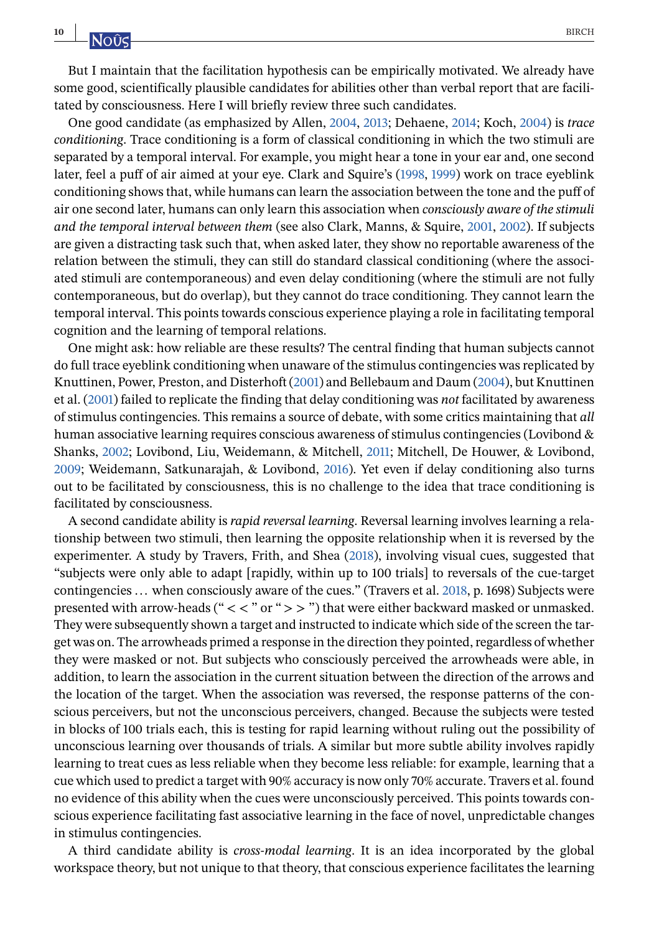But I maintain that the facilitation hypothesis can be empirically motivated. We already have some good, scientifically plausible candidates for abilities other than verbal report that are facilitated by consciousness. Here I will briefly review three such candidates.

One good candidate (as emphasized by Allen, [2004,](#page-16-0) [2013;](#page-16-0) Dehaene, [2014;](#page-17-0) Koch, [2004\)](#page-18-0) is *trace conditioning*. Trace conditioning is a form of classical conditioning in which the two stimuli are separated by a temporal interval. For example, you might hear a tone in your ear and, one second later, feel a puff of air aimed at your eye. Clark and Squire's [\(1998,](#page-17-0) [1999\)](#page-17-0) work on trace eyeblink conditioning shows that, while humans can learn the association between the tone and the puff of air one second later, humans can only learn this association when *consciously aware of the stimuli and the temporal interval between them* (see also Clark, Manns, & Squire, [2001,](#page-17-0) [2002\)](#page-17-0). If subjects are given a distracting task such that, when asked later, they show no reportable awareness of the relation between the stimuli, they can still do standard classical conditioning (where the associated stimuli are contemporaneous) and even delay conditioning (where the stimuli are not fully contemporaneous, but do overlap), but they cannot do trace conditioning. They cannot learn the temporal interval. This points towards conscious experience playing a role in facilitating temporal cognition and the learning of temporal relations.

One might ask: how reliable are these results? The central finding that human subjects cannot do full trace eyeblink conditioning when unaware of the stimulus contingencies was replicated by Knuttinen, Power, Preston, and Disterhoft [\(2001\)](#page-18-0) and Bellebaum and Daum [\(2004\)](#page-17-0), but Knuttinen et al. [\(2001\)](#page-18-0) failed to replicate the finding that delay conditioning was *not* facilitated by awareness of stimulus contingencies. This remains a source of debate, with some critics maintaining that *all* human associative learning requires conscious awareness of stimulus contingencies (Lovibond & Shanks, [2002;](#page-18-0) Lovibond, Liu, Weidemann, & Mitchell, [2011;](#page-18-0) Mitchell, De Houwer, & Lovibond, [2009;](#page-18-0) Weidemann, Satkunarajah, & Lovibond, [2016\)](#page-20-0). Yet even if delay conditioning also turns out to be facilitated by consciousness, this is no challenge to the idea that trace conditioning is facilitated by consciousness.

A second candidate ability is *rapid reversal learning*. Reversal learning involves learning a relationship between two stimuli, then learning the opposite relationship when it is reversed by the experimenter. A study by Travers, Frith, and Shea [\(2018\)](#page-19-0), involving visual cues, suggested that "subjects were only able to adapt [rapidly, within up to 100 trials] to reversals of the cue-target contingencies ... when consciously aware of the cues." (Travers et al. [2018,](#page-20-0) p. 1698) Subjects were presented with arrow-heads (" $<<$  " or " $>>$ ") that were either backward masked or unmasked. They were subsequently shown a target and instructed to indicate which side of the screen the target was on. The arrowheads primed a response in the direction they pointed, regardless of whether they were masked or not. But subjects who consciously perceived the arrowheads were able, in addition, to learn the association in the current situation between the direction of the arrows and the location of the target. When the association was reversed, the response patterns of the conscious perceivers, but not the unconscious perceivers, changed. Because the subjects were tested in blocks of 100 trials each, this is testing for rapid learning without ruling out the possibility of unconscious learning over thousands of trials. A similar but more subtle ability involves rapidly learning to treat cues as less reliable when they become less reliable: for example, learning that a cue which used to predict a target with 90% accuracy is now only 70% accurate. Travers et al. found no evidence of this ability when the cues were unconsciously perceived. This points towards conscious experience facilitating fast associative learning in the face of novel, unpredictable changes in stimulus contingencies.

A third candidate ability is *cross-modal learning*. It is an idea incorporated by the global workspace theory, but not unique to that theory, that conscious experience facilitates the learning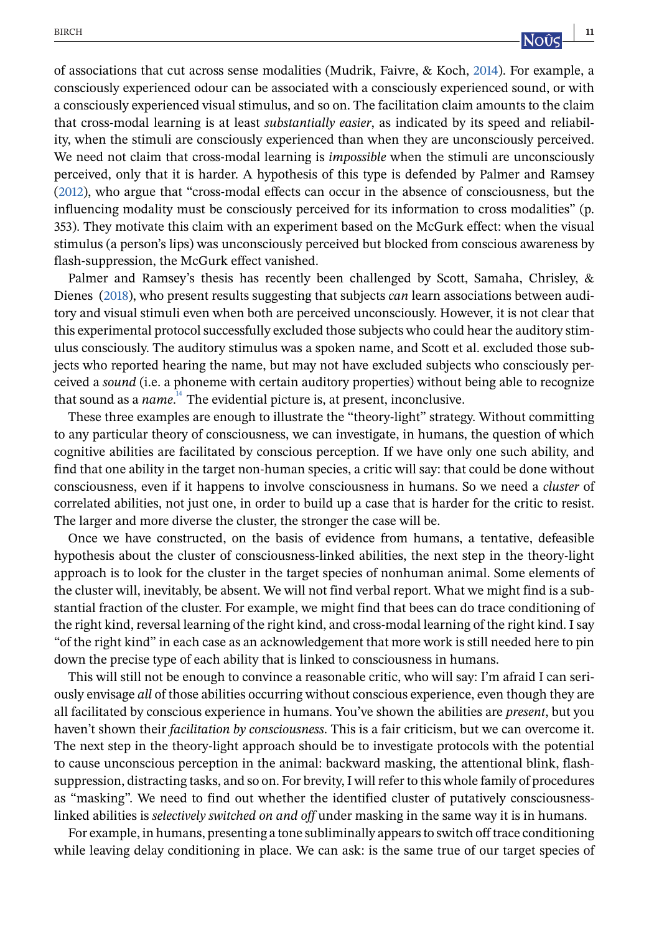BIRCH **11** 

of associations that cut across sense modalities (Mudrik, Faivre, & Koch, [2014\)](#page-19-0). For example, a consciously experienced odour can be associated with a consciously experienced sound, or with a consciously experienced visual stimulus, and so on. The facilitation claim amounts to the claim that cross-modal learning is at least *substantially easier*, as indicated by its speed and reliability, when the stimuli are consciously experienced than when they are unconsciously perceived. We need not claim that cross-modal learning is *impossible* when the stimuli are unconsciously perceived, only that it is harder. A hypothesis of this type is defended by Palmer and Ramsey [\(2012\)](#page-19-0), who argue that "cross-modal effects can occur in the absence of consciousness, but the influencing modality must be consciously perceived for its information to cross modalities" (p. 353). They motivate this claim with an experiment based on the McGurk effect: when the visual stimulus (a person's lips) was unconsciously perceived but blocked from conscious awareness by flash-suppression, the McGurk effect vanished.

Palmer and Ramsey's thesis has recently been challenged by Scott, Samaha, Chrisley, & Dienes [\(2018\)](#page-19-0), who present results suggesting that subjects *can* learn associations between auditory and visual stimuli even when both are perceived unconsciously. However, it is not clear that this experimental protocol successfully excluded those subjects who could hear the auditory stimulus consciously. The auditory stimulus was a spoken name, and Scott et al. excluded those subjects who reported hearing the name, but may not have excluded subjects who consciously perceived a *sound* (i.e. a phoneme with certain auditory properties) without being able to recognize that sound as a *name*[.](#page-16-0) <sup>14</sup> The evidential picture is, at present, inconclusive.

These three examples are enough to illustrate the "theory-light" strategy. Without committing to any particular theory of consciousness, we can investigate, in humans, the question of which cognitive abilities are facilitated by conscious perception. If we have only one such ability, and find that one ability in the target non-human species, a critic will say: that could be done without consciousness, even if it happens to involve consciousness in humans. So we need a *cluster* of correlated abilities, not just one, in order to build up a case that is harder for the critic to resist. The larger and more diverse the cluster, the stronger the case will be.

Once we have constructed, on the basis of evidence from humans, a tentative, defeasible hypothesis about the cluster of consciousness-linked abilities, the next step in the theory-light approach is to look for the cluster in the target species of nonhuman animal. Some elements of the cluster will, inevitably, be absent. We will not find verbal report. What we might find is a substantial fraction of the cluster. For example, we might find that bees can do trace conditioning of the right kind, reversal learning of the right kind, and cross-modal learning of the right kind. I say "of the right kind" in each case as an acknowledgement that more work is still needed here to pin down the precise type of each ability that is linked to consciousness in humans.

This will still not be enough to convince a reasonable critic, who will say: I'm afraid I can seriously envisage *all* of those abilities occurring without conscious experience, even though they are all facilitated by conscious experience in humans. You've shown the abilities are *present*, but you haven't shown their *facilitation by consciousness*. This is a fair criticism, but we can overcome it. The next step in the theory-light approach should be to investigate protocols with the potential to cause unconscious perception in the animal: backward masking, the attentional blink, flashsuppression, distracting tasks, and so on. For brevity, I will refer to this whole family of procedures as "masking". We need to find out whether the identified cluster of putatively consciousnesslinked abilities is *selectively switched on and off* under masking in the same way it is in humans.

For example, in humans, presenting a tone subliminally appears to switch off trace conditioning while leaving delay conditioning in place. We can ask: is the same true of our target species of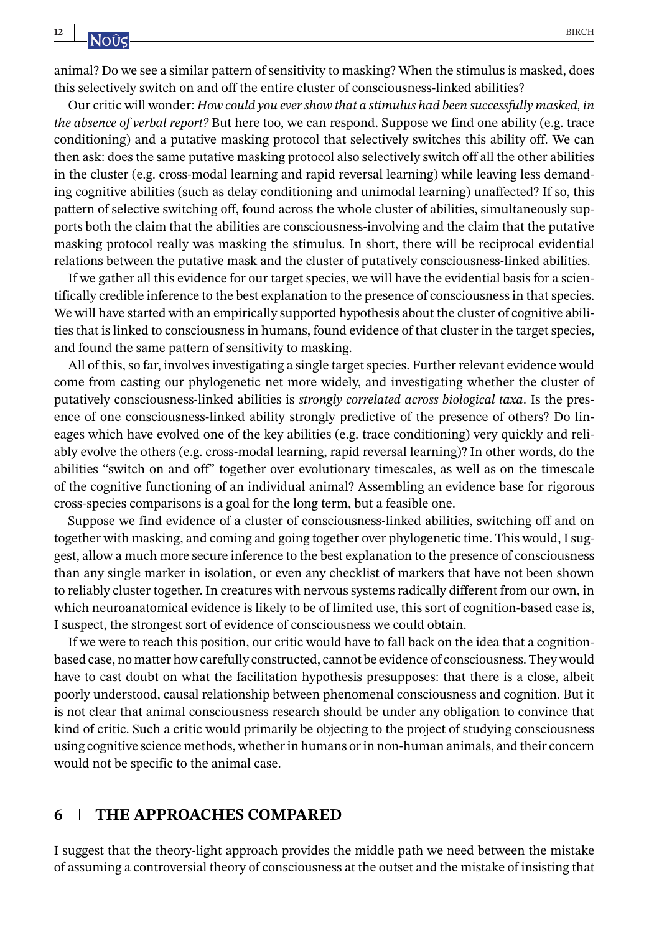animal? Do we see a similar pattern of sensitivity to masking? When the stimulus is masked, does this selectively switch on and off the entire cluster of consciousness-linked abilities?

Our critic will wonder: *How could you ever show that a stimulus had been successfully masked, in the absence of verbal report?* But here too, we can respond. Suppose we find one ability (e.g. trace conditioning) and a putative masking protocol that selectively switches this ability off. We can then ask: does the same putative masking protocol also selectively switch off all the other abilities in the cluster (e.g. cross-modal learning and rapid reversal learning) while leaving less demanding cognitive abilities (such as delay conditioning and unimodal learning) unaffected? If so, this pattern of selective switching off, found across the whole cluster of abilities, simultaneously supports both the claim that the abilities are consciousness-involving and the claim that the putative masking protocol really was masking the stimulus. In short, there will be reciprocal evidential relations between the putative mask and the cluster of putatively consciousness-linked abilities.

If we gather all this evidence for our target species, we will have the evidential basis for a scientifically credible inference to the best explanation to the presence of consciousness in that species. We will have started with an empirically supported hypothesis about the cluster of cognitive abilities that is linked to consciousness in humans, found evidence of that cluster in the target species, and found the same pattern of sensitivity to masking.

All of this, so far, involves investigating a single target species. Further relevant evidence would come from casting our phylogenetic net more widely, and investigating whether the cluster of putatively consciousness-linked abilities is *strongly correlated across biological taxa*. Is the presence of one consciousness-linked ability strongly predictive of the presence of others? Do lineages which have evolved one of the key abilities (e.g. trace conditioning) very quickly and reliably evolve the others (e.g. cross-modal learning, rapid reversal learning)? In other words, do the abilities "switch on and off" together over evolutionary timescales, as well as on the timescale of the cognitive functioning of an individual animal? Assembling an evidence base for rigorous cross-species comparisons is a goal for the long term, but a feasible one.

Suppose we find evidence of a cluster of consciousness-linked abilities, switching off and on together with masking, and coming and going together over phylogenetic time. This would, I suggest, allow a much more secure inference to the best explanation to the presence of consciousness than any single marker in isolation, or even any checklist of markers that have not been shown to reliably cluster together. In creatures with nervous systems radically different from our own, in which neuroanatomical evidence is likely to be of limited use, this sort of cognition-based case is, I suspect, the strongest sort of evidence of consciousness we could obtain.

If we were to reach this position, our critic would have to fall back on the idea that a cognitionbased case, no matter how carefully constructed, cannot be evidence of consciousness. They would have to cast doubt on what the facilitation hypothesis presupposes: that there is a close, albeit poorly understood, causal relationship between phenomenal consciousness and cognition. But it is not clear that animal consciousness research should be under any obligation to convince that kind of critic. Such a critic would primarily be objecting to the project of studying consciousness using cognitive science methods, whether in humans or in non-human animals, and their concern would not be specific to the animal case.

#### **6 THE APPROACHES COMPARED**

I suggest that the theory-light approach provides the middle path we need between the mistake of assuming a controversial theory of consciousness at the outset and the mistake of insisting that

<span id="page-11-0"></span>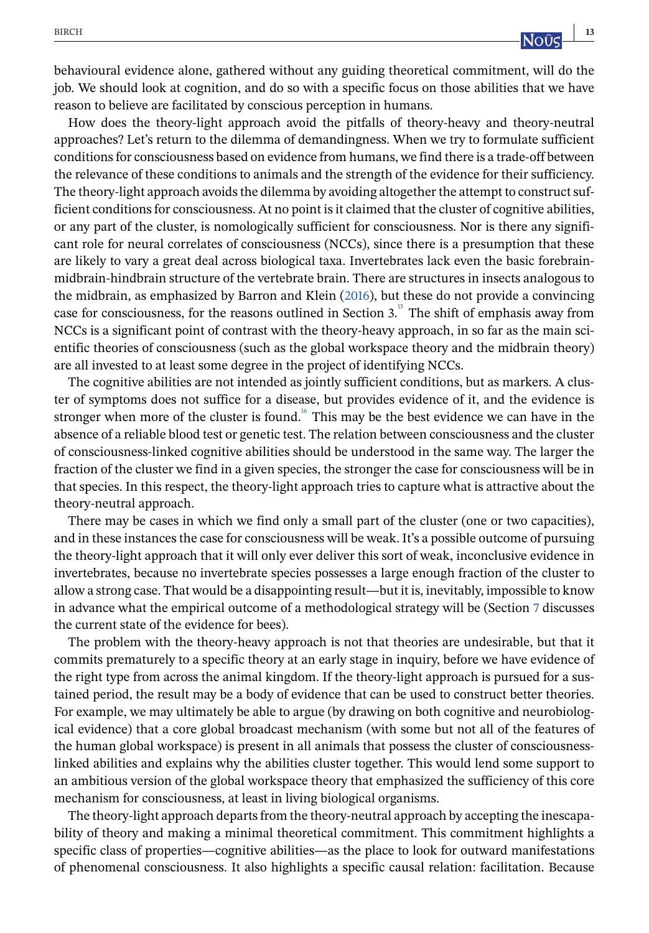behavioural evidence alone, gathered without any guiding theoretical commitment, will do the job. We should look at cognition, and do so with a specific focus on those abilities that we have reason to believe are facilitated by conscious perception in humans.

How does the theory-light approach avoid the pitfalls of theory-heavy and theory-neutral approaches? Let's return to the dilemma of demandingness. When we try to formulate sufficient conditions for consciousness based on evidence from humans, we find there is a trade-off between the relevance of these conditions to animals and the strength of the evidence for their sufficiency. The theory-light approach avoids the dilemma by avoiding altogether the attempt to construct sufficient conditions for consciousness. At no point is it claimed that the cluster of cognitive abilities, or any part of the cluster, is nomologically sufficient for consciousness. Nor is there any significant role for neural correlates of consciousness (NCCs), since there is a presumption that these are likely to vary a great deal across biological taxa. Invertebrates lack even the basic forebrainmidbrain-hindbrain structure of the vertebrate brain. There are structures in insects analogous to the midbrain, as emphasized by Barron and Klein [\(2016\)](#page-16-0), but these do not provide a convincing case for consciousness, for the reasons outlined in Section 3[.](#page-16-0) $\frac{15}{10}$  The shift of emphasis away from NCCs is a significant point of contrast with the theory-heavy approach, in so far as the main scientific theories of consciousness (such as the global workspace theory and the midbrain theory) are all invested to at least some degree in the project of identifying NCCs.

The cognitive abilities are not intended as jointly sufficient conditions, but as markers. A cluster of symptoms does not suffice for a disease, but provides evidence of it, and the evidence is stronger when more of the cluster is found[.](#page-16-0)<sup>16</sup> This may be the best evidence we can have in the absence of a reliable blood test or genetic test. The relation between consciousness and the cluster of consciousness-linked cognitive abilities should be understood in the same way. The larger the fraction of the cluster we find in a given species, the stronger the case for consciousness will be in that species. In this respect, the theory-light approach tries to capture what is attractive about the theory-neutral approach.

There may be cases in which we find only a small part of the cluster (one or two capacities), and in these instances the case for consciousness will be weak. It's a possible outcome of pursuing the theory-light approach that it will only ever deliver this sort of weak, inconclusive evidence in invertebrates, because no invertebrate species possesses a large enough fraction of the cluster to allow a strong case. That would be a disappointing result—but it is, inevitably, impossible to know in advance what the empirical outcome of a methodological strategy will be (Section [7](#page-13-0) discusses the current state of the evidence for bees).

The problem with the theory-heavy approach is not that theories are undesirable, but that it commits prematurely to a specific theory at an early stage in inquiry, before we have evidence of the right type from across the animal kingdom. If the theory-light approach is pursued for a sustained period, the result may be a body of evidence that can be used to construct better theories. For example, we may ultimately be able to argue (by drawing on both cognitive and neurobiological evidence) that a core global broadcast mechanism (with some but not all of the features of the human global workspace) is present in all animals that possess the cluster of consciousnesslinked abilities and explains why the abilities cluster together. This would lend some support to an ambitious version of the global workspace theory that emphasized the sufficiency of this core mechanism for consciousness, at least in living biological organisms.

The theory-light approach departs from the theory-neutral approach by accepting the inescapability of theory and making a minimal theoretical commitment. This commitment highlights a specific class of properties—cognitive abilities—as the place to look for outward manifestations of phenomenal consciousness. It also highlights a specific causal relation: facilitation. Because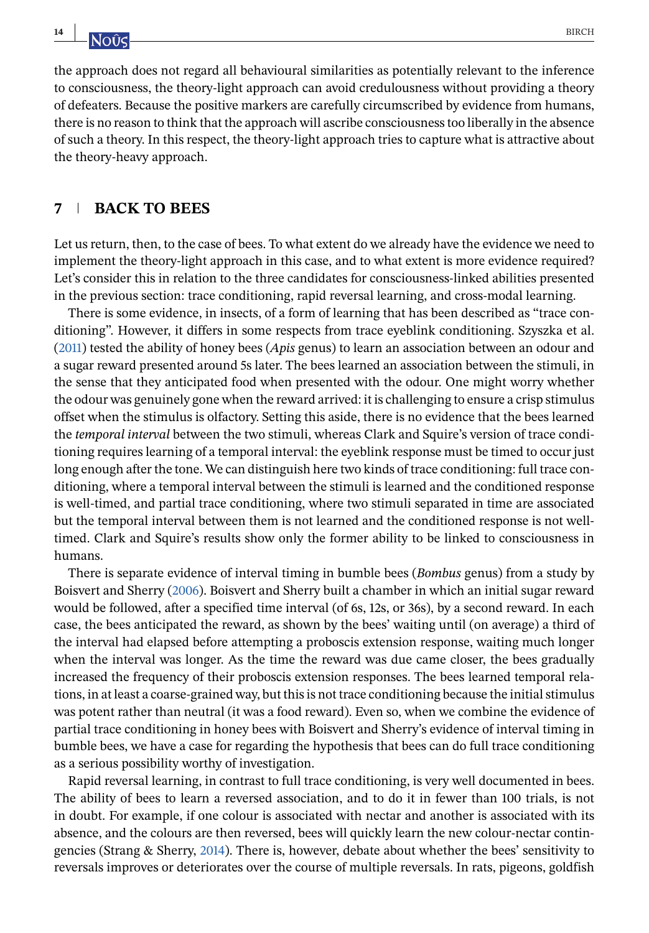<span id="page-13-0"></span>the approach does not regard all behavioural similarities as potentially relevant to the inference to consciousness, the theory-light approach can avoid credulousness without providing a theory of defeaters. Because the positive markers are carefully circumscribed by evidence from humans, there is no reason to think that the approach will ascribe consciousness too liberally in the absence of such a theory. In this respect, the theory-light approach tries to capture what is attractive about the theory-heavy approach.

#### **7 BACK TO BEES**

Let us return, then, to the case of bees. To what extent do we already have the evidence we need to implement the theory-light approach in this case, and to what extent is more evidence required? Let's consider this in relation to the three candidates for consciousness-linked abilities presented in the previous section: trace conditioning, rapid reversal learning, and cross-modal learning.

There is some evidence, in insects, of a form of learning that has been described as "trace conditioning". However, it differs in some respects from trace eyeblink conditioning. Szyszka et al. [\(2011\)](#page-19-0) tested the ability of honey bees (*Apis* genus) to learn an association between an odour and a sugar reward presented around 5s later. The bees learned an association between the stimuli, in the sense that they anticipated food when presented with the odour. One might worry whether the odour was genuinely gone when the reward arrived: it is challenging to ensure a crisp stimulus offset when the stimulus is olfactory. Setting this aside, there is no evidence that the bees learned the *temporal interval* between the two stimuli, whereas Clark and Squire's version of trace conditioning requires learning of a temporal interval: the eyeblink response must be timed to occur just long enough after the tone. We can distinguish here two kinds of trace conditioning: full trace conditioning, where a temporal interval between the stimuli is learned and the conditioned response is well-timed, and partial trace conditioning, where two stimuli separated in time are associated but the temporal interval between them is not learned and the conditioned response is not welltimed. Clark and Squire's results show only the former ability to be linked to consciousness in humans.

There is separate evidence of interval timing in bumble bees (*Bombus* genus) from a study by Boisvert and Sherry [\(2006\)](#page-17-0). Boisvert and Sherry built a chamber in which an initial sugar reward would be followed, after a specified time interval (of 6s, 12s, or 36s), by a second reward. In each case, the bees anticipated the reward, as shown by the bees' waiting until (on average) a third of the interval had elapsed before attempting a proboscis extension response, waiting much longer when the interval was longer. As the time the reward was due came closer, the bees gradually increased the frequency of their proboscis extension responses. The bees learned temporal relations, in at least a coarse-grained way, but this is not trace conditioning because the initial stimulus was potent rather than neutral (it was a food reward). Even so, when we combine the evidence of partial trace conditioning in honey bees with Boisvert and Sherry's evidence of interval timing in bumble bees, we have a case for regarding the hypothesis that bees can do full trace conditioning as a serious possibility worthy of investigation.

Rapid reversal learning, in contrast to full trace conditioning, is very well documented in bees. The ability of bees to learn a reversed association, and to do it in fewer than 100 trials, is not in doubt. For example, if one colour is associated with nectar and another is associated with its absence, and the colours are then reversed, bees will quickly learn the new colour-nectar contingencies (Strang & Sherry, [2014\)](#page-19-0). There is, however, debate about whether the bees' sensitivity to reversals improves or deteriorates over the course of multiple reversals. In rats, pigeons, goldfish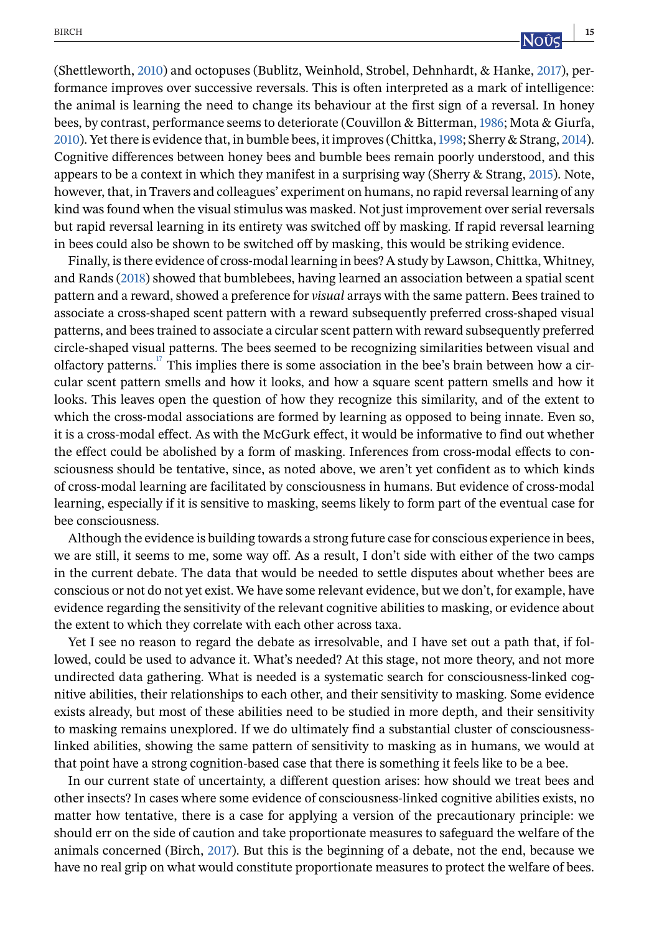(Shettleworth, [2010\)](#page-19-0) and octopuses (Bublitz, Weinhold, Strobel, Dehnhardt, & Hanke, [2017\)](#page-17-0), performance improves over successive reversals. This is often interpreted as a mark of intelligence: the animal is learning the need to change its behaviour at the first sign of a reversal. In honey bees, by contrast, performance seems to deteriorate (Couvillon & Bitterman, [1986;](#page-17-0) Mota & Giurfa, [2010\)](#page-19-0). Yet there is evidence that, in bumble bees, it improves (Chittka,[1998;](#page-17-0) Sherry & Strang, [2014\)](#page-19-0). Cognitive differences between honey bees and bumble bees remain poorly understood, and this appears to be a context in which they manifest in a surprising way (Sherry & Strang, [2015\)](#page-19-0). Note, however, that, in Travers and colleagues' experiment on humans, no rapid reversal learning of any kind was found when the visual stimulus was masked. Not just improvement over serial reversals but rapid reversal learning in its entirety was switched off by masking. If rapid reversal learning in bees could also be shown to be switched off by masking, this would be striking evidence.

Finally, is there evidence of cross-modal learning in bees? A study by Lawson, Chittka, Whitney, and Rands [\(2018\)](#page-18-0) showed that bumblebees, having learned an association between a spatial scent pattern and a reward, showed a preference for *visual* arrays with the same pattern. Bees trained to associate a cross-shaped scent pattern with a reward subsequently preferred cross-shaped visual patterns, and bees trained to associate a circular scent pattern with reward subsequently preferred circle-shaped visual patterns. The bees seemed to be recognizing similarities between visual and olfactory patterns[.](#page-16-0)<sup>17</sup> This implies there is some association in the bee's brain between how a circular scent pattern smells and how it looks, and how a square scent pattern smells and how it looks. This leaves open the question of how they recognize this similarity, and of the extent to which the cross-modal associations are formed by learning as opposed to being innate. Even so, it is a cross-modal effect. As with the McGurk effect, it would be informative to find out whether the effect could be abolished by a form of masking. Inferences from cross-modal effects to consciousness should be tentative, since, as noted above, we aren't yet confident as to which kinds of cross-modal learning are facilitated by consciousness in humans. But evidence of cross-modal learning, especially if it is sensitive to masking, seems likely to form part of the eventual case for bee consciousness.

Although the evidence is building towards a strong future case for conscious experience in bees, we are still, it seems to me, some way off. As a result, I don't side with either of the two camps in the current debate. The data that would be needed to settle disputes about whether bees are conscious or not do not yet exist. We have some relevant evidence, but we don't, for example, have evidence regarding the sensitivity of the relevant cognitive abilities to masking, or evidence about the extent to which they correlate with each other across taxa.

Yet I see no reason to regard the debate as irresolvable, and I have set out a path that, if followed, could be used to advance it. What's needed? At this stage, not more theory, and not more undirected data gathering. What is needed is a systematic search for consciousness-linked cognitive abilities, their relationships to each other, and their sensitivity to masking. Some evidence exists already, but most of these abilities need to be studied in more depth, and their sensitivity to masking remains unexplored. If we do ultimately find a substantial cluster of consciousnesslinked abilities, showing the same pattern of sensitivity to masking as in humans, we would at that point have a strong cognition-based case that there is something it feels like to be a bee.

In our current state of uncertainty, a different question arises: how should we treat bees and other insects? In cases where some evidence of consciousness-linked cognitive abilities exists, no matter how tentative, there is a case for applying a version of the precautionary principle: we should err on the side of caution and take proportionate measures to safeguard the welfare of the animals concerned (Birch, [2017\)](#page-17-0). But this is the beginning of a debate, not the end, because we have no real grip on what would constitute proportionate measures to protect the welfare of bees.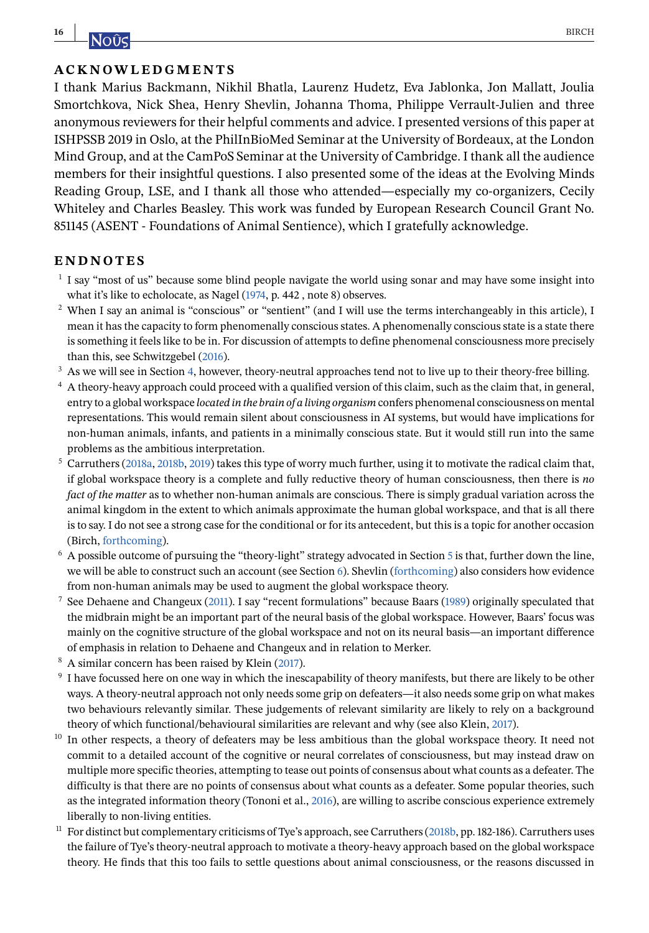#### <span id="page-15-0"></span>**ACKNOWLEDGMENTS**

I thank Marius Backmann, Nikhil Bhatla, Laurenz Hudetz, Eva Jablonka, Jon Mallatt, Joulia Smortchkova, Nick Shea, Henry Shevlin, Johanna Thoma, Philippe Verrault-Julien and three anonymous reviewers for their helpful comments and advice. I presented versions of this paper at ISHPSSB 2019 in Oslo, at the PhilInBioMed Seminar at the University of Bordeaux, at the London Mind Group, and at the CamPoS Seminar at the University of Cambridge. I thank all the audience members for their insightful questions. I also presented some of the ideas at the Evolving Minds Reading Group, LSE, and I thank all those who attended—especially my co-organizers, Cecily Whiteley and Charles Beasley. This work was funded by European Research Council Grant No. 851145 (ASENT - Foundations of Animal Sentience), which I gratefully acknowledge.

#### **ENDNOTES**

- $1$  I say "most of us" because some blind people navigate the world using sonar and may have some insight into what it's like to echolocate, as Nagel [\(1974,](#page-19-0) p. 442 , note 8) observes.
- <sup>2</sup> When I say an animal is "conscious" or "sentient" (and I will use the terms interchangeably in this article), I mean it has the capacity to form phenomenally conscious states. A phenomenally conscious state is a state there is something it feels like to be in. For discussion of attempts to define phenomenal consciousness more precisely than this, see Schwitzgebel [\(2016\)](#page-19-0).
- <sup>3</sup> As we will see in Section [4,](#page-5-0) however, theory-neutral approaches tend not to live up to their theory-free billing.
- <sup>4</sup> A theory-heavy approach could proceed with a qualified version of this claim, such as the claim that, in general, entry to a global workspace *located in the brain of a living organism* confers phenomenal consciousness on mental representations. This would remain silent about consciousness in AI systems, but would have implications for non-human animals, infants, and patients in a minimally conscious state. But it would still run into the same problems as the ambitious interpretation.
- <sup>5</sup> Carruthers [\(2018a,](#page-17-0) [2018b,](#page-17-0) [2019\)](#page-17-0) takes this type of worry much further, using it to motivate the radical claim that, if global workspace theory is a complete and fully reductive theory of human consciousness, then there is *no fact of the matter* as to whether non-human animals are conscious. There is simply gradual variation across the animal kingdom in the extent to which animals approximate the human global workspace, and that is all there is to say. I do not see a strong case for the conditional or for its antecedent, but this is a topic for another occasion (Birch, [forthcoming\)](#page-17-0).
- $6$  A possible outcome of pursuing the "theory-light" strategy advocated in Section [5](#page-7-0) is that, further down the line, we will be able to construct such an account (see Section [6\)](#page-11-0). Shevlin [\(forthcoming\)](#page-19-0) also considers how evidence from non-human animals may be used to augment the global workspace theory.
- <sup>7</sup> See Dehaene and Changeux [\(2011\)](#page-17-0). I say "recent formulations" because Baars [\(1989\)](#page-16-0) originally speculated that the midbrain might be an important part of the neural basis of the global workspace. However, Baars' focus was mainly on the cognitive structure of the global workspace and not on its neural basis—an important difference of emphasis in relation to Dehaene and Changeux and in relation to Merker.
- $8\,$  A similar concern has been raised by Klein [\(2017\)](#page-18-0).
- <sup>9</sup> I have focussed here on one way in which the inescapability of theory manifests, but there are likely to be other ways. A theory-neutral approach not only needs some grip on defeaters—it also needs some grip on what makes two behaviours relevantly similar. These judgements of relevant similarity are likely to rely on a background theory of which functional/behavioural similarities are relevant and why (see also Klein, [2017\)](#page-18-0).
- <sup>10</sup> In other respects, a theory of defeaters may be less ambitious than the global workspace theory. It need not commit to a detailed account of the cognitive or neural correlates of consciousness, but may instead draw on multiple more specific theories, attempting to tease out points of consensus about what counts as a defeater. The difficulty is that there are no points of consensus about what counts as a defeater. Some popular theories, such as the integrated information theory (Tononi et al., [2016\)](#page-19-0), are willing to ascribe conscious experience extremely liberally to non-living entities.
- $11$  For distinct but complementary criticisms of Tye's approach, see Carruthers [\(2018b,](#page-17-0) pp. 182-186). Carruthers uses the failure of Tye's theory-neutral approach to motivate a theory-heavy approach based on the global workspace theory. He finds that this too fails to settle questions about animal consciousness, or the reasons discussed in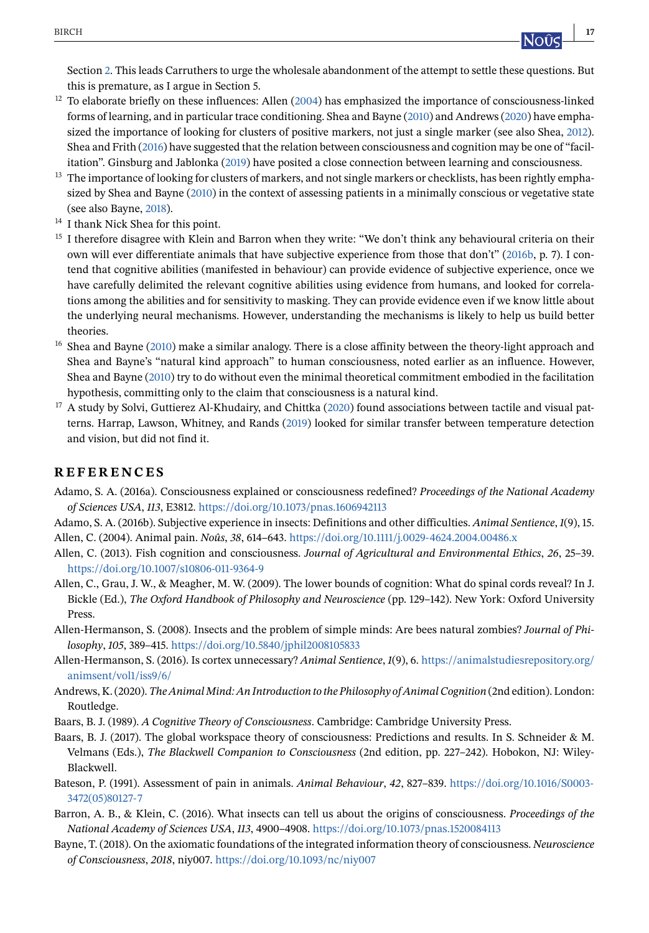<span id="page-16-0"></span>Section [2.](#page-2-0) This leads Carruthers to urge the wholesale abandonment of the attempt to settle these questions. But this is premature, as I argue in Section 5.

- $12$  To elaborate briefly on these influences: Allen (2004) has emphasized the importance of consciousness-linked forms of learning, and in particular trace conditioning. Shea and Bayne [\(2010\)](#page-19-0) and Andrews (2020) have emphasized the importance of looking for clusters of positive markers, not just a single marker (see also Shea, [2012\)](#page-19-0). Shea and Frith [\(2016\)](#page-19-0) have suggested that the relation between consciousness and cognition may be one of "facilitation". Ginsburg and Jablonka [\(2019\)](#page-18-0) have posited a close connection between learning and consciousness.
- <sup>13</sup> The importance of looking for clusters of markers, and not single markers or checklists, has been rightly emphasized by Shea and Bayne [\(2010\)](#page-19-0) in the context of assessing patients in a minimally conscious or vegetative state (see also Bayne, 2018).
- <sup>14</sup> I thank Nick Shea for this point.
- <sup>15</sup> I therefore disagree with Klein and Barron when they write: "We don't think any behavioural criteria on their own will ever differentiate animals that have subjective experience from those that don't" [\(2016b,](#page-20-0) p. 7). I contend that cognitive abilities (manifested in behaviour) can provide evidence of subjective experience, once we have carefully delimited the relevant cognitive abilities using evidence from humans, and looked for correlations among the abilities and for sensitivity to masking. They can provide evidence even if we know little about the underlying neural mechanisms. However, understanding the mechanisms is likely to help us build better theories.
- <sup>16</sup> Shea and Bayne [\(2010\)](#page-19-0) make a similar analogy. There is a close affinity between the theory-light approach and Shea and Bayne's "natural kind approach" to human consciousness, noted earlier as an influence. However, Shea and Bayne [\(2010\)](#page-19-0) try to do without even the minimal theoretical commitment embodied in the facilitation hypothesis, committing only to the claim that consciousness is a natural kind.
- $17$  A study by Solvi, Guttierez Al-Khudairy, and Chittka [\(2020\)](#page-19-0) found associations between tactile and visual patterns. Harrap, Lawson, Whitney, and Rands [\(2019\)](#page-18-0) looked for similar transfer between temperature detection and vision, but did not find it.

#### **REFERENCES**

Adamo, S. A. (2016a). Consciousness explained or consciousness redefined? *Proceedings of the National Academy of Sciences USA*, *113*, E3812. <https://doi.org/10.1073/pnas.1606942113>

Adamo, S. A. (2016b). Subjective experience in insects: Definitions and other difficulties. *Animal Sentience*, *1*(9), 15. Allen, C. (2004). Animal pain. *Noûs*, *38*, 614–643. <https://doi.org/10.1111/j.0029-4624.2004.00486.x>

- Allen, C. (2013). Fish cognition and consciousness. *Journal of Agricultural and Environmental Ethics*, *26*, 25–39. [https://doi.org/10.1007/s10806-011-9364-9](https://doi.org/10.1007/s1080601193649)
- Allen, C., Grau, J. W., & Meagher, M. W. (2009). The lower bounds of cognition: What do spinal cords reveal? In J. Bickle (Ed.), *The Oxford Handbook of Philosophy and Neuroscience* (pp. 129–142). New York: Oxford University Press.
- Allen-Hermanson, S. (2008). Insects and the problem of simple minds: Are bees natural zombies? *Journal of Philosophy*, *105*, 389–415. <https://doi.org/10.5840/jphil2008105833>
- Allen-Hermanson, S. (2016). Is cortex unnecessary? *Animal Sentience*, *1*(9), 6. [https://animalstudiesrepository.org/](https://animalstudiesrepository.org/animsent/vol1/iss9/6/) [animsent/vol1/iss9/6/](https://animalstudiesrepository.org/animsent/vol1/iss9/6/)
- Andrews, K. (2020). *The Animal Mind: An Introduction to the Philosophy of Animal Cognition* (2nd edition). London: Routledge.
- Baars, B. J. (1989). *A Cognitive Theory of Consciousness*. Cambridge: Cambridge University Press.
- Baars, B. J. (2017). The global workspace theory of consciousness: Predictions and results. In S. Schneider & M. Velmans (Eds.), *The Blackwell Companion to Consciousness* (2nd edition, pp. 227–242). Hobokon, NJ: Wiley-Blackwell.
- Bateson, P. (1991). Assessment of pain in animals. *Animal Behaviour*, *42*, 827–839. [https://doi.org/10.1016/S0003-](https://doi.org/10.1016/S0003-3472(05)80127-7) [3472\(05\)80127-7](https://doi.org/10.1016/S0003-3472(05)80127-7)
- Barron, A. B., & Klein, C. (2016). What insects can tell us about the origins of consciousness. *Proceedings of the National Academy of Sciences USA*, *113*, 4900–4908. <https://doi.org/10.1073/pnas.1520084113>
- Bayne, T. (2018). On the axiomatic foundations of the integrated information theory of consciousness. *Neuroscience of Consciousness*, *2018*, niy007. <https://doi.org/10.1093/nc/niy007>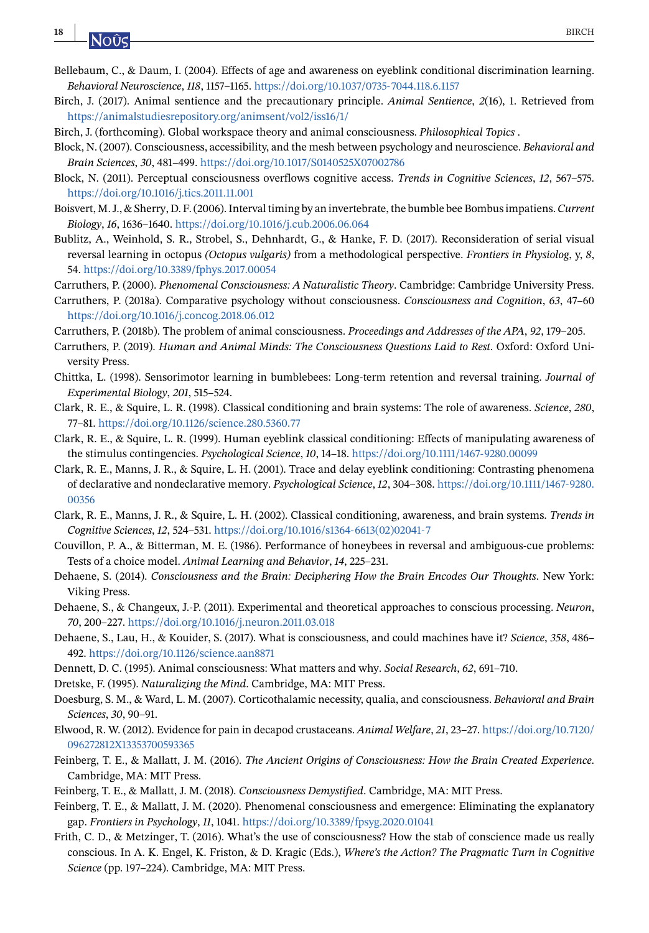- <span id="page-17-0"></span>Bellebaum, C., & Daum, I. (2004). Effects of age and awareness on eyeblink conditional discrimination learning. *Behavioral Neuroscience*, *118*, 1157–1165. <https://doi.org/10.1037/0735-7044.118.6.1157>
- Birch, J. (2017). Animal sentience and the precautionary principle. *Animal Sentience*, *2*(16), 1. Retrieved from <https://animalstudiesrepository.org/animsent/vol2/iss16/1/>
- Birch, J. (forthcoming). Global workspace theory and animal consciousness. *Philosophical Topics* .
- Block, N. (2007). Consciousness, accessibility, and the mesh between psychology and neuroscience. *Behavioral and Brain Sciences*, *30*, 481–499. <https://doi.org/10.1017/S0140525X07002786>
- Block, N. (2011). Perceptual consciousness overflows cognitive access. *Trends in Cognitive Sciences*, *12*, 567–575. <https://doi.org/10.1016/j.tics.2011.11.001>
- Boisvert, M. J., & Sherry, D. F. (2006). Interval timing by an invertebrate, the bumble bee Bombus impatiens.*Current Biology*, *16*, 1636–1640. <https://doi.org/10.1016/j.cub.2006.06.064>
- Bublitz, A., Weinhold, S. R., Strobel, S., Dehnhardt, G., & Hanke, F. D. (2017). Reconsideration of serial visual reversal learning in octopus *(Octopus vulgaris)* from a methodological perspective. *Frontiers in Physiolog*, y, *8*, 54. <https://doi.org/10.3389/fphys.2017.00054>
- Carruthers, P. (2000). *Phenomenal Consciousness: A Naturalistic Theory*. Cambridge: Cambridge University Press.
- Carruthers, P. (2018a). Comparative psychology without consciousness. *Consciousness and Cognition*, *63*, 47–60 <https://doi.org/10.1016/j.concog.2018.06.012>
- Carruthers, P. (2018b). The problem of animal consciousness. *Proceedings and Addresses of the APA*, *92*, 179–205.
- Carruthers, P. (2019). *Human and Animal Minds: The Consciousness Questions Laid to Rest*. Oxford: Oxford University Press.
- Chittka, L. (1998). Sensorimotor learning in bumblebees: Long-term retention and reversal training. *Journal of Experimental Biology*, *201*, 515–524.
- Clark, R. E., & Squire, L. R. (1998). Classical conditioning and brain systems: The role of awareness. *Science*, *280*, 77–81. <https://doi.org/10.1126/science.280.5360.77>
- Clark, R. E., & Squire, L. R. (1999). Human eyeblink classical conditioning: Effects of manipulating awareness of the stimulus contingencies. *Psychological Science*, *10*, 14–18. <https://doi.org/10.1111/1467-9280.00099>
- Clark, R. E., Manns, J. R., & Squire, L. H. (2001). Trace and delay eyeblink conditioning: Contrasting phenomena of declarative and nondeclarative memory. *Psychological Science*, *12*, 304–308. [https://doi.org/10.1111/1467-9280.](https://doi.org/10.1111/1467-9280.00356) [00356](https://doi.org/10.1111/1467-9280.00356)
- Clark, R. E., Manns, J. R., & Squire, L. H. (2002). Classical conditioning, awareness, and brain systems. *Trends in Cognitive Sciences*, *12*, 524–531. [https://doi.org/10.1016/s1364-6613\(02\)02041-7](https://doi.org/10.1016/s1364-6613(02)02041-7)
- Couvillon, P. A., & Bitterman, M. E. (1986). Performance of honeybees in reversal and ambiguous-cue problems: Tests of a choice model. *Animal Learning and Behavior*, *14*, 225–231.
- Dehaene, S. (2014). *Consciousness and the Brain: Deciphering How the Brain Encodes Our Thoughts*. New York: Viking Press.
- Dehaene, S., & Changeux, J.-P. (2011). Experimental and theoretical approaches to conscious processing. *Neuron*, *70*, 200–227. <https://doi.org/10.1016/j.neuron.2011.03.018>
- Dehaene, S., Lau, H., & Kouider, S. (2017). What is consciousness, and could machines have it? *Science*, *358*, 486– 492. <https://doi.org/10.1126/science.aan8871>
- Dennett, D. C. (1995). Animal consciousness: What matters and why. *Social Research*, *62*, 691–710.
- Dretske, F. (1995). *Naturalizing the Mind*. Cambridge, MA: MIT Press.
- Doesburg, S. M., & Ward, L. M. (2007). Corticothalamic necessity, qualia, and consciousness. *Behavioral and Brain Sciences*, *30*, 90–91.
- Elwood, R. W. (2012). Evidence for pain in decapod crustaceans. *Animal Welfare*, *21*, 23–27. [https://doi.org/10.7120/](https://doi.org/10.7120/096272812X13353700593365) [096272812X13353700593365](https://doi.org/10.7120/096272812X13353700593365)
- Feinberg, T. E., & Mallatt, J. M. (2016). *The Ancient Origins of Consciousness: How the Brain Created Experience*. Cambridge, MA: MIT Press.
- Feinberg, T. E., & Mallatt, J. M. (2018). *Consciousness Demystified*. Cambridge, MA: MIT Press.
- Feinberg, T. E., & Mallatt, J. M. (2020). Phenomenal consciousness and emergence: Eliminating the explanatory gap. *Frontiers in Psychology*, *11*, 1041. <https://doi.org/10.3389/fpsyg.2020.01041>
- Frith, C. D., & Metzinger, T. (2016). What's the use of consciousness? How the stab of conscience made us really conscious. In A. K. Engel, K. Friston, & D. Kragic (Eds.), *Where's the Action? The Pragmatic Turn in Cognitive Science* (pp. 197–224). Cambridge, MA: MIT Press.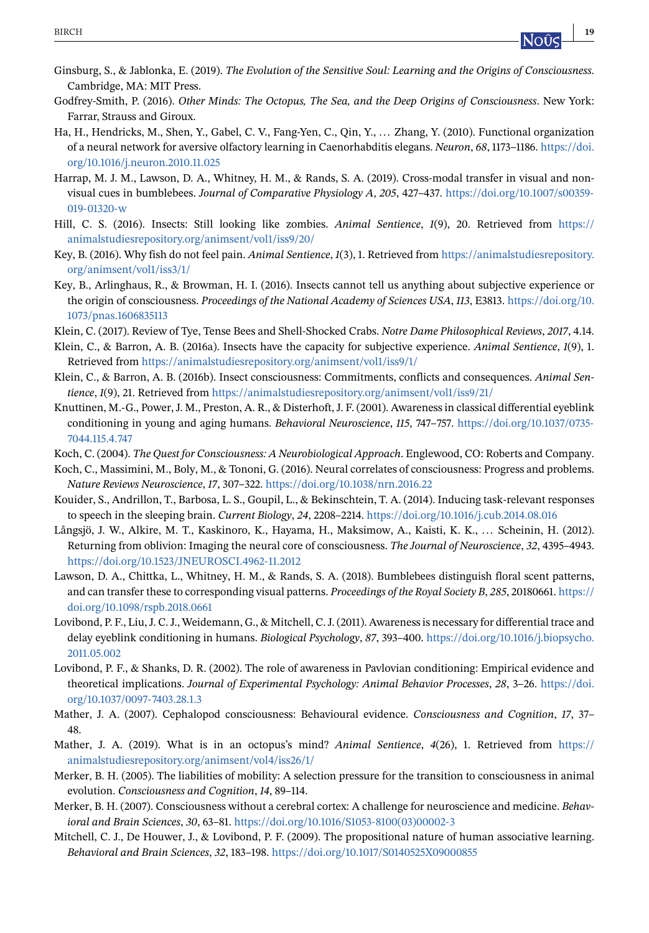- <span id="page-18-0"></span>Godfrey-Smith, P. (2016). *Other Minds: The Octopus, The Sea, and the Deep Origins of Consciousness*. New York: Farrar, Strauss and Giroux.
- Ha, H., Hendricks, M., Shen, Y., Gabel, C. V., Fang-Yen, C., Qin, Y., ... Zhang, Y. (2010). Functional organization of a neural network for aversive olfactory learning in Caenorhabditis elegans. *Neuron*, *68*, 1173–1186. [https://doi.](https://doi.org/10.1016/j.neuron.2010.11.025) [org/10.1016/j.neuron.2010.11.025](https://doi.org/10.1016/j.neuron.2010.11.025)
- Harrap, M. J. M., Lawson, D. A., Whitney, H. M., & Rands, S. A. (2019). Cross-modal transfer in visual and nonvisual cues in bumblebees. *Journal of Comparative Physiology A*, *205*, 427–437. [https://doi.org/10.1007/s00359-](https://doi.org/10.1007/s00359-019-01320-w) [019-01320-w](https://doi.org/10.1007/s00359-019-01320-w)
- Hill, C. S. (2016). Insects: Still looking like zombies. *Animal Sentience*, *1*(9), 20. Retrieved from [https://](https://animalstudiesrepository.org/animsent/vol1/iss9/20/) [animalstudiesrepository.org/animsent/vol1/iss9/20/](https://animalstudiesrepository.org/animsent/vol1/iss9/20/)
- Key, B. (2016). Why fish do not feel pain. *Animal Sentience*, *1*(3), 1. Retrieved from [https://animalstudiesrepository.](https://animalstudiesrepository.org/animsent/vol1/iss3/1/) [org/animsent/vol1/iss3/1/](https://animalstudiesrepository.org/animsent/vol1/iss3/1/)
- Key, B., Arlinghaus, R., & Browman, H. I. (2016). Insects cannot tell us anything about subjective experience or the origin of consciousness. *Proceedings of the National Academy of Sciences USA*, *113*, E3813. [https://doi.org/10.](https://doi.org/10.1073/pnas.1606835113) [1073/pnas.1606835113](https://doi.org/10.1073/pnas.1606835113)
- Klein, C. (2017). Review of Tye, Tense Bees and Shell-Shocked Crabs. *Notre Dame Philosophical Reviews*, *2017*, 4.14.
- Klein, C., & Barron, A. B. (2016a). Insects have the capacity for subjective experience. *Animal Sentience*, *1*(9), 1. Retrieved from <https://animalstudiesrepository.org/animsent/vol1/iss9/1/>
- Klein, C., & Barron, A. B. (2016b). Insect consciousness: Commitments, conflicts and consequences. *Animal Sentience*, *1*(9), 21. Retrieved from <https://animalstudiesrepository.org/animsent/vol1/iss9/21/>
- Knuttinen, M.-G., Power, J. M., Preston, A. R., & Disterhoft, J. F. (2001). Awareness in classical differential eyeblink conditioning in young and aging humans. *Behavioral Neuroscience*, *115*, 747–757. [https://doi.org/10.1037/0735-](https://doi.org/10.1037/0735-7044.115.4.747) [7044.115.4.747](https://doi.org/10.1037/0735-7044.115.4.747)
- Koch, C. (2004). *The Quest for Consciousness: A Neurobiological Approach*. Englewood, CO: Roberts and Company.
- Koch, C., Massimini, M., Boly, M., & Tononi, G. (2016). Neural correlates of consciousness: Progress and problems. *Nature Reviews Neuroscience*, *17*, 307–322. <https://doi.org/10.1038/nrn.2016.22>
- Kouider, S., Andrillon, T., Barbosa, L. S., Goupil, L., & Bekinschtein, T. A. (2014). Inducing task-relevant responses to speech in the sleeping brain. *Current Biology*, *24*, 2208–2214. <https://doi.org/10.1016/j.cub.2014.08.016>
- Långsjö, J. W., Alkire, M. T., Kaskinoro, K., Hayama, H., Maksimow, A., Kaisti, K. K., ... Scheinin, H. (2012). Returning from oblivion: Imaging the neural core of consciousness. *The Journal of Neuroscience*, *32*, 4395–4943. <https://doi.org/10.1523/JNEUROSCI.4962-11.2012>
- Lawson, D. A., Chittka, L., Whitney, H. M., & Rands, S. A. (2018). Bumblebees distinguish floral scent patterns, and can transfer these to corresponding visual patterns. *Proceedings of the Royal Society B*, *285*, 20180661. [https://](https://doi.org/10.1098/rspb.2018.0661) [doi.org/10.1098/rspb.2018.0661](https://doi.org/10.1098/rspb.2018.0661)
- Lovibond, P. F., Liu, J. C. J., Weidemann, G., & Mitchell, C. J. (2011). Awareness is necessary for differential trace and delay eyeblink conditioning in humans. *Biological Psychology*, *87*, 393–400. [https://doi.org/10.1016/j.biopsycho.](https://doi.org/10.1016/j.biopsycho.2011.05.002) [2011.05.002](https://doi.org/10.1016/j.biopsycho.2011.05.002)
- Lovibond, P. F., & Shanks, D. R. (2002). The role of awareness in Pavlovian conditioning: Empirical evidence and theoretical implications. *Journal of Experimental Psychology: Animal Behavior Processes*, *28*, 3–26. [https://doi.](https://doi.org/10.1037/0097-7403.28.1.3) [org/10.1037/0097-7403.28.1.3](https://doi.org/10.1037/0097-7403.28.1.3)
- Mather, J. A. (2007). Cephalopod consciousness: Behavioural evidence. *Consciousness and Cognition*, *17*, 37– 48.
- Mather, J. A. (2019). What is in an octopus's mind? *Animal Sentience*, *4*(26), 1. Retrieved from [https://](https://animalstudiesrepository.org/animsent/vol4/iss26/1/) [animalstudiesrepository.org/animsent/vol4/iss26/1/](https://animalstudiesrepository.org/animsent/vol4/iss26/1/)
- Merker, B. H. (2005). The liabilities of mobility: A selection pressure for the transition to consciousness in animal evolution. *Consciousness and Cognition*, *14*, 89–114.
- Merker, B. H. (2007). Consciousness without a cerebral cortex: A challenge for neuroscience and medicine. *Behavioral and Brain Sciences*, *30*, 63–81. [https://doi.org/10.1016/S1053-8100\(03\)00002-3](https://doi.org/10.1016/S1053-8100(03)00002-3)
- Mitchell, C. J., De Houwer, J., & Lovibond, P. F. (2009). The propositional nature of human associative learning. *Behavioral and Brain Sciences*, *32*, 183–198. <https://doi.org/10.1017/S0140525X09000855>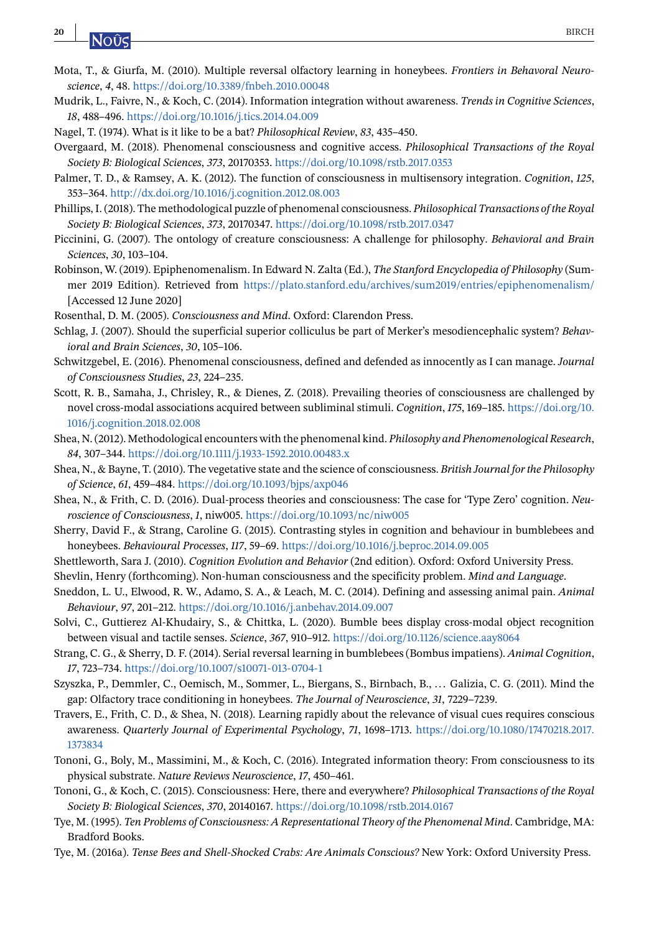- <span id="page-19-0"></span>Mota, T., & Giurfa, M. (2010). Multiple reversal olfactory learning in honeybees. *Frontiers in Behavoral Neuroscience*, *4*, 48. <https://doi.org/10.3389/fnbeh.2010.00048>
- Mudrik, L., Faivre, N., & Koch, C. (2014). Information integration without awareness. *Trends in Cognitive Sciences*, *18*, 488–496. <https://doi.org/10.1016/j.tics.2014.04.009>
- Nagel, T. (1974). What is it like to be a bat? *Philosophical Review*, *83*, 435–450.
- Overgaard, M. (2018). Phenomenal consciousness and cognitive access. *Philosophical Transactions of the Royal Society B: Biological Sciences*, *373*, 20170353. <https://doi.org/10.1098/rstb.2017.0353>
- Palmer, T. D., & Ramsey, A. K. (2012). The function of consciousness in multisensory integration. *Cognition*, *125*, 353–364. <http://dx.doi.org/10.1016/j.cognition.2012.08.003>
- Phillips, I. (2018). The methodological puzzle of phenomenal consciousness. *Philosophical Transactions of the Royal Society B: Biological Sciences*, *373*, 20170347. <https://doi.org/10.1098/rstb.2017.0347>
- Piccinini, G. (2007). The ontology of creature consciousness: A challenge for philosophy. *Behavioral and Brain Sciences*, *30*, 103–104.
- Robinson, W. (2019). Epiphenomenalism. In Edward N. Zalta (Ed.), *The Stanford Encyclopedia of Philosophy* (Summer 2019 Edition). Retrieved from <https://plato.stanford.edu/archives/sum2019/entries/epiphenomenalism/> [Accessed 12 June 2020]
- Rosenthal, D. M. (2005). *Consciousness and Mind*. Oxford: Clarendon Press.
- Schlag, J. (2007). Should the superficial superior colliculus be part of Merker's mesodiencephalic system? *Behavioral and Brain Sciences*, *30*, 105–106.
- Schwitzgebel, E. (2016). Phenomenal consciousness, defined and defended as innocently as I can manage. *Journal of Consciousness Studies*, *23*, 224–235.
- Scott, R. B., Samaha, J., Chrisley, R., & Dienes, Z. (2018). Prevailing theories of consciousness are challenged by novel cross-modal associations acquired between subliminal stimuli. *Cognition*, *175*, 169–185. [https://doi.org/10.](https://doi.org/10.1016/j.cognition.2018.02.008) [1016/j.cognition.2018.02.008](https://doi.org/10.1016/j.cognition.2018.02.008)
- Shea, N. (2012). Methodological encounters with the phenomenal kind. *Philosophy and Phenomenological Research*, *84*, 307–344. <https://doi.org/10.1111/j.1933-1592.2010.00483.x>
- Shea, N., & Bayne, T. (2010). The vegetative state and the science of consciousness. *British Journal for the Philosophy of Science*, *61*, 459–484. <https://doi.org/10.1093/bjps/axp046>
- Shea, N., & Frith, C. D. (2016). Dual-process theories and consciousness: The case for 'Type Zero' cognition. *Neuroscience of Consciousness*, *1*, niw005. <https://doi.org/10.1093/nc/niw005>
- Sherry, David F., & Strang, Caroline G. (2015). Contrasting styles in cognition and behaviour in bumblebees and honeybees. *Behavioural Processes*, *117*, 59–69. <https://doi.org/10.1016/j.beproc.2014.09.005>
- Shettleworth, Sara J. (2010). *Cognition Evolution and Behavior* (2nd edition). Oxford: Oxford University Press.
- Shevlin, Henry (forthcoming). Non-human consciousness and the specificity problem. *Mind and Language*.
- Sneddon, L. U., Elwood, R. W., Adamo, S. A., & Leach, M. C. (2014). Defining and assessing animal pain. *Animal Behaviour*, *97*, 201–212. <https://doi.org/10.1016/j.anbehav.2014.09.007>
- Solvi, C., Guttierez Al-Khudairy, S., & Chittka, L. (2020). Bumble bees display cross-modal object recognition between visual and tactile senses. *Science*, *367*, 910–912. <https://doi.org/10.1126/science.aay8064>
- Strang, C. G., & Sherry, D. F. (2014). Serial reversal learning in bumblebees (Bombus impatiens). *Animal Cognition*, *17*, 723–734. <https://doi.org/10.1007/s10071-013-0704-1>
- Szyszka, P., Demmler, C., Oemisch, M., Sommer, L., Biergans, S., Birnbach, B., ... Galizia, C. G. (2011). Mind the gap: Olfactory trace conditioning in honeybees. *The Journal of Neuroscience*, *31*, 7229–7239.
- Travers, E., Frith, C. D., & Shea, N. (2018). Learning rapidly about the relevance of visual cues requires conscious awareness. *Quarterly Journal of Experimental Psychology*, *71*, 1698–1713. [https://doi.org/10.1080/17470218.2017.](https://doi.org/10.1080/17470218.2017.1373834) [1373834](https://doi.org/10.1080/17470218.2017.1373834)
- Tononi, G., Boly, M., Massimini, M., & Koch, C. (2016). Integrated information theory: From consciousness to its physical substrate. *Nature Reviews Neuroscience*, *17*, 450–461.
- Tononi, G., & Koch, C. (2015). Consciousness: Here, there and everywhere? *Philosophical Transactions of the Royal Society B: Biological Sciences*, *370*, 20140167. <https://doi.org/10.1098/rstb.2014.0167>
- Tye, M. (1995). *Ten Problems of Consciousness: A Representational Theory of the Phenomenal Mind*. Cambridge, MA: Bradford Books.
- Tye, M. (2016a). *Tense Bees and Shell-Shocked Crabs: Are Animals Conscious?* New York: Oxford University Press.